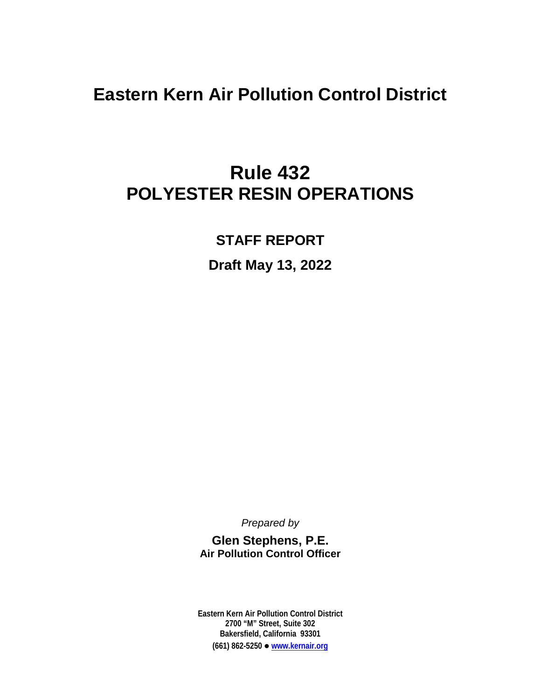**Eastern Kern Air Pollution Control District**

## **Rule 432 POLYESTER RESIN OPERATIONS**

**STAFF REPORT**

**Draft May 13, 2022**

*Prepared by*

**Glen Stephens, P.E. Air Pollution Control Officer**

**Eastern Kern Air Pollution Control District 2700 "M" Street, Suite 302 Bakersfield, California 93301 (661) 862-5250 [www.kernair.org](http://www.kernair.org/)**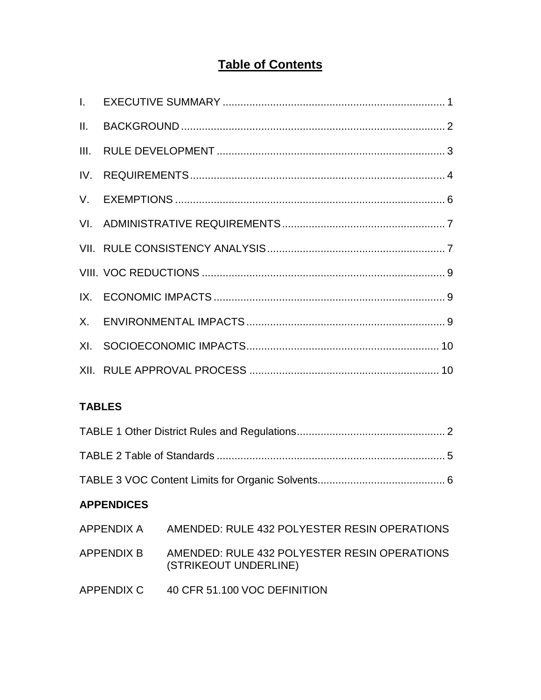### **Table of Contents**

#### **TABLES**

#### **APPENDICES**

| APPENDIX A | AMENDED: RULE 432 POLYESTER RESIN OPERATIONS                          |
|------------|-----------------------------------------------------------------------|
| APPENDIX B | AMENDED: RULE 432 POLYESTER RESIN OPERATIONS<br>(STRIKEOUT UNDERLINE) |
| APPENDIX C | 40 CFR 51.100 VOC DEFINITION                                          |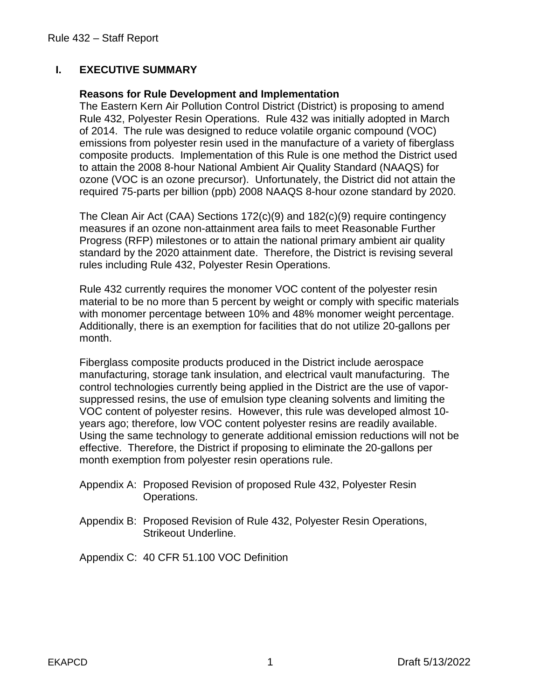#### **I. EXECUTIVE SUMMARY**

#### **Reasons for Rule Development and Implementation**

The Eastern Kern Air Pollution Control District (District) is proposing to amend Rule 432, Polyester Resin Operations. Rule 432 was initially adopted in March of 2014. The rule was designed to reduce volatile organic compound (VOC) emissions from polyester resin used in the manufacture of a variety of fiberglass composite products. Implementation of this Rule is one method the District used to attain the 2008 8-hour National Ambient Air Quality Standard (NAAQS) for ozone (VOC is an ozone precursor). Unfortunately, the District did not attain the required 75-parts per billion (ppb) 2008 NAAQS 8-hour ozone standard by 2020.

The Clean Air Act (CAA) Sections 172(c)(9) and 182(c)(9) require contingency measures if an ozone non-attainment area fails to meet Reasonable Further Progress (RFP) milestones or to attain the national primary ambient air quality standard by the 2020 attainment date. Therefore, the District is revising several rules including Rule 432, Polyester Resin Operations.

Rule 432 currently requires the monomer VOC content of the polyester resin material to be no more than 5 percent by weight or comply with specific materials with monomer percentage between 10% and 48% monomer weight percentage. Additionally, there is an exemption for facilities that do not utilize 20-gallons per month.

Fiberglass composite products produced in the District include aerospace manufacturing, storage tank insulation, and electrical vault manufacturing. The control technologies currently being applied in the District are the use of vaporsuppressed resins, the use of emulsion type cleaning solvents and limiting the VOC content of polyester resins. However, this rule was developed almost 10 years ago; therefore, low VOC content polyester resins are readily available. Using the same technology to generate additional emission reductions will not be effective. Therefore, the District if proposing to eliminate the 20-gallons per month exemption from polyester resin operations rule.

- Appendix A: Proposed Revision of proposed Rule 432, Polyester Resin Operations.
- Appendix B: Proposed Revision of Rule 432, Polyester Resin Operations, Strikeout Underline.

Appendix C: 40 CFR 51.100 VOC Definition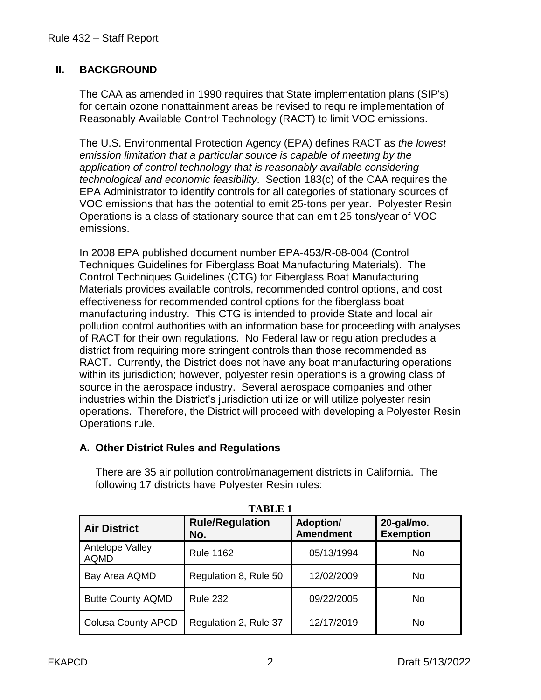#### **II. BACKGROUND**

The CAA as amended in 1990 requires that State implementation plans (SIP's) for certain ozone nonattainment areas be revised to require implementation of Reasonably Available Control Technology (RACT) to limit VOC emissions.

The U.S. Environmental Protection Agency (EPA) defines RACT as *the lowest emission limitation that a particular source is capable of meeting by the application of control technology that is reasonably available considering technological and economic feasibility*. Section 183(c) of the CAA requires the EPA Administrator to identify controls for all categories of stationary sources of VOC emissions that has the potential to emit 25-tons per year. Polyester Resin Operations is a class of stationary source that can emit 25-tons/year of VOC emissions.

In 2008 EPA published document number EPA-453/R-08-004 (Control Techniques Guidelines for Fiberglass Boat Manufacturing Materials). The Control Techniques Guidelines (CTG) for Fiberglass Boat Manufacturing Materials provides available controls, recommended control options, and cost effectiveness for recommended control options for the fiberglass boat manufacturing industry. This CTG is intended to provide State and local air pollution control authorities with an information base for proceeding with analyses of RACT for their own regulations. No Federal law or regulation precludes a district from requiring more stringent controls than those recommended as RACT. Currently, the District does not have any boat manufacturing operations within its jurisdiction; however, polyester resin operations is a growing class of source in the aerospace industry. Several aerospace companies and other industries within the District's jurisdiction utilize or will utilize polyester resin operations. Therefore, the District will proceed with developing a Polyester Resin Operations rule.

#### **A. Other District Rules and Regulations**

There are 35 air pollution control/management districts in California. The following 17 districts have Polyester Resin rules:

| ,,,,,,,,,,                     |                               |                               |                                   |
|--------------------------------|-------------------------------|-------------------------------|-----------------------------------|
| <b>Air District</b>            | <b>Rule/Regulation</b><br>No. | Adoption/<br><b>Amendment</b> | $20$ -gal/mo.<br><b>Exemption</b> |
| Antelope Valley<br><b>AQMD</b> | <b>Rule 1162</b>              | 05/13/1994                    | No.                               |
| Bay Area AQMD                  | Regulation 8, Rule 50         | 12/02/2009                    | No.                               |
| <b>Butte County AQMD</b>       | <b>Rule 232</b>               | 09/22/2005                    | No.                               |
| <b>Colusa County APCD</b>      | Regulation 2, Rule 37         | 12/17/2019                    | No                                |

**TABLE 1**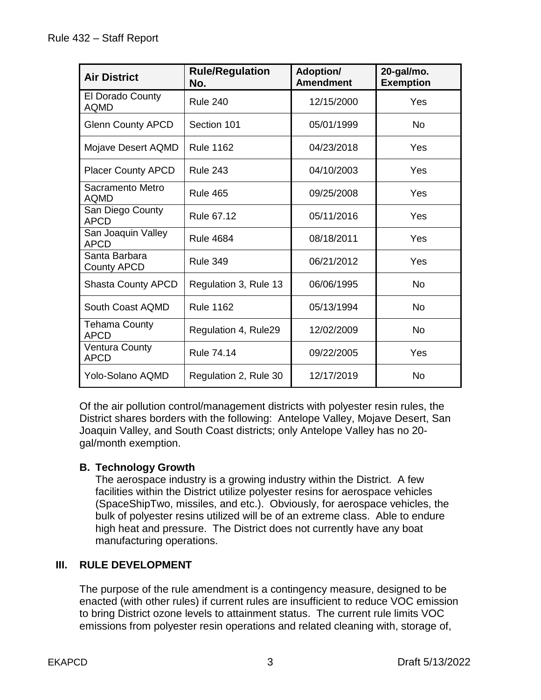| <b>Air District</b>                 | <b>Rule/Regulation</b><br>No. | <b>Adoption/</b><br><b>Amendment</b> | 20-gal/mo.<br><b>Exemption</b> |
|-------------------------------------|-------------------------------|--------------------------------------|--------------------------------|
| El Dorado County<br><b>AQMD</b>     | <b>Rule 240</b>               | 12/15/2000                           | Yes                            |
| <b>Glenn County APCD</b>            | Section 101                   | 05/01/1999                           | <b>No</b>                      |
| Mojave Desert AQMD                  | <b>Rule 1162</b>              | 04/23/2018                           | Yes                            |
| <b>Placer County APCD</b>           | <b>Rule 243</b>               | 04/10/2003                           | Yes                            |
| Sacramento Metro<br><b>AQMD</b>     | <b>Rule 465</b>               | 09/25/2008                           | Yes                            |
| San Diego County<br><b>APCD</b>     | <b>Rule 67.12</b>             | 05/11/2016                           | Yes                            |
| San Joaquin Valley<br><b>APCD</b>   | <b>Rule 4684</b>              | 08/18/2011                           | Yes                            |
| Santa Barbara<br><b>County APCD</b> | <b>Rule 349</b>               | 06/21/2012                           | Yes                            |
| <b>Shasta County APCD</b>           | Regulation 3, Rule 13         | 06/06/1995                           | <b>No</b>                      |
| South Coast AQMD                    | <b>Rule 1162</b>              | 05/13/1994                           | <b>No</b>                      |
| <b>Tehama County</b><br><b>APCD</b> | Regulation 4, Rule29          | 12/02/2009                           | <b>No</b>                      |
| Ventura County<br><b>APCD</b>       | <b>Rule 74.14</b>             | 09/22/2005                           | Yes                            |
| Yolo-Solano AQMD                    | Regulation 2, Rule 30         | 12/17/2019                           | <b>No</b>                      |

Of the air pollution control/management districts with polyester resin rules, the District shares borders with the following: Antelope Valley, Mojave Desert, San Joaquin Valley, and South Coast districts; only Antelope Valley has no 20 gal/month exemption.

#### **B. Technology Growth**

The aerospace industry is a growing industry within the District. A few facilities within the District utilize polyester resins for aerospace vehicles (SpaceShipTwo, missiles, and etc.). Obviously, for aerospace vehicles, the bulk of polyester resins utilized will be of an extreme class. Able to endure high heat and pressure. The District does not currently have any boat manufacturing operations.

#### **III. RULE DEVELOPMENT**

The purpose of the rule amendment is a contingency measure, designed to be enacted (with other rules) if current rules are insufficient to reduce VOC emission to bring District ozone levels to attainment status. The current rule limits VOC emissions from polyester resin operations and related cleaning with, storage of,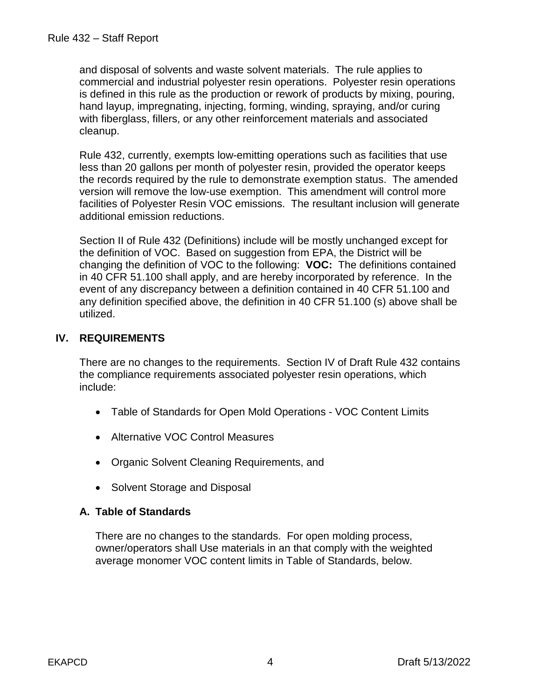and disposal of solvents and waste solvent materials. The rule applies to commercial and industrial polyester resin operations. Polyester resin operations is defined in this rule as the production or rework of products by mixing, pouring, hand layup, impregnating, injecting, forming, winding, spraying, and/or curing with fiberglass, fillers, or any other reinforcement materials and associated cleanup.

Rule 432, currently, exempts low-emitting operations such as facilities that use less than 20 gallons per month of polyester resin, provided the operator keeps the records required by the rule to demonstrate exemption status. The amended version will remove the low-use exemption. This amendment will control more facilities of Polyester Resin VOC emissions. The resultant inclusion will generate additional emission reductions.

Section II of Rule 432 (Definitions) include will be mostly unchanged except for the definition of VOC. Based on suggestion from EPA, the District will be changing the definition of VOC to the following: **VOC:** The definitions contained in 40 CFR 51.100 shall apply, and are hereby incorporated by reference. In the event of any discrepancy between a definition contained in 40 CFR 51.100 and any definition specified above, the definition in 40 CFR 51.100 (s) above shall be utilized.

#### **IV. REQUIREMENTS**

There are no changes to the requirements. Section IV of Draft Rule 432 contains the compliance requirements associated polyester resin operations, which include:

- Table of Standards for Open Mold Operations VOC Content Limits
- Alternative VOC Control Measures
- Organic Solvent Cleaning Requirements, and
- Solvent Storage and Disposal

#### **A. Table of Standards**

There are no changes to the standards. For open molding process, owner/operators shall Use materials in an that comply with the weighted average monomer VOC content limits in Table of Standards, below.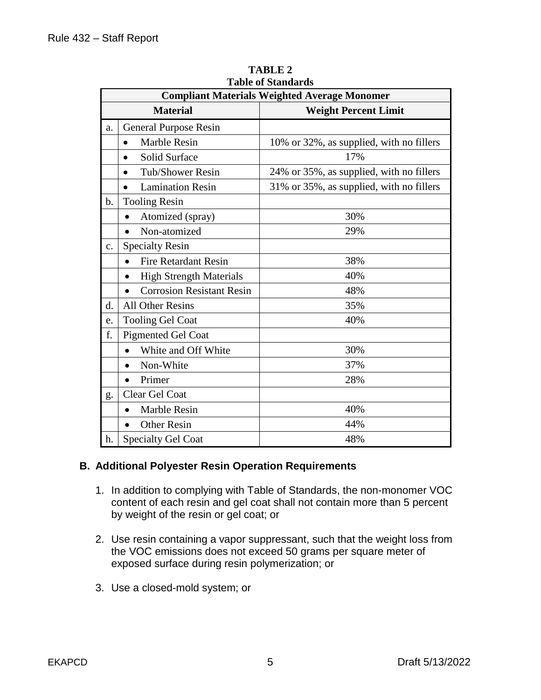| Table of Standards<br><b>Compliant Materials Weighted Average Monomer</b> |                                                |                                          |  |
|---------------------------------------------------------------------------|------------------------------------------------|------------------------------------------|--|
|                                                                           | <b>Material</b><br><b>Weight Percent Limit</b> |                                          |  |
|                                                                           |                                                |                                          |  |
| a.                                                                        | <b>General Purpose Resin</b>                   |                                          |  |
|                                                                           | <b>Marble Resin</b><br>$\bullet$               | 10% or 32%, as supplied, with no fillers |  |
|                                                                           | Solid Surface<br>$\bullet$                     | 17%                                      |  |
|                                                                           | <b>Tub/Shower Resin</b><br>$\bullet$           | 24% or 35%, as supplied, with no fillers |  |
|                                                                           | <b>Lamination Resin</b>                        | 31% or 35%, as supplied, with no fillers |  |
| $\mathbf{b}$ .                                                            | <b>Tooling Resin</b>                           |                                          |  |
|                                                                           | Atomized (spray)                               | 30%                                      |  |
|                                                                           | Non-atomized<br>$\bullet$                      | 29%                                      |  |
| $\mathbf{c}$ .                                                            | <b>Specialty Resin</b>                         |                                          |  |
|                                                                           | <b>Fire Retardant Resin</b><br>$\bullet$       | 38%                                      |  |
|                                                                           | <b>High Strength Materials</b><br>$\bullet$    | 40%                                      |  |
|                                                                           | <b>Corrosion Resistant Resin</b><br>$\bullet$  | 48%                                      |  |
| d.                                                                        | <b>All Other Resins</b>                        | 35%                                      |  |
| e.                                                                        | <b>Tooling Gel Coat</b>                        | 40%                                      |  |
| f.                                                                        | <b>Pigmented Gel Coat</b>                      |                                          |  |
|                                                                           | White and Off White                            | 30%                                      |  |
|                                                                           | Non-White                                      | 37%                                      |  |
|                                                                           | Primer                                         | 28%                                      |  |
| g.                                                                        | Clear Gel Coat                                 |                                          |  |
|                                                                           | <b>Marble Resin</b>                            | 40%                                      |  |
|                                                                           | <b>Other Resin</b><br>$\bullet$                | 44%                                      |  |
| h.                                                                        | <b>Specialty Gel Coat</b>                      | 48%                                      |  |

**TABLE 2 Table of Standards**

#### **B. Additional Polyester Resin Operation Requirements**

- 1. In addition to complying with Table of Standards, the non-monomer VOC content of each resin and gel coat shall not contain more than 5 percent by weight of the resin or gel coat; or
- 2. Use resin containing a vapor suppressant, such that the weight loss from the VOC emissions does not exceed 50 grams per square meter of exposed surface during resin polymerization; or
- 3. Use a closed-mold system; or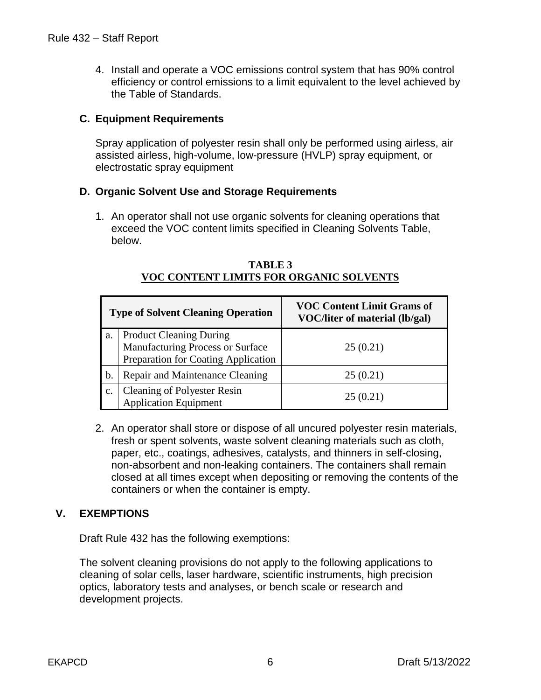4. Install and operate a VOC emissions control system that has 90% control efficiency or control emissions to a limit equivalent to the level achieved by the Table of Standards.

#### **C. Equipment Requirements**

Spray application of polyester resin shall only be performed using airless, air assisted airless, high-volume, low-pressure (HVLP) spray equipment, or electrostatic spray equipment

#### **D. Organic Solvent Use and Storage Requirements**

1. An operator shall not use organic solvents for cleaning operations that exceed the VOC content limits specified in Cleaning Solvents Table, below.

|    | <b>Type of Solvent Cleaning Operation</b>                                                                 | <b>VOC Content Limit Grams of</b><br>VOC/liter of material (lb/gal) |
|----|-----------------------------------------------------------------------------------------------------------|---------------------------------------------------------------------|
| a. | <b>Product Cleaning During</b><br>Manufacturing Process or Surface<br>Preparation for Coating Application | 25(0.21)                                                            |
| b. | Repair and Maintenance Cleaning                                                                           | 25(0.21)                                                            |
| c. | <b>Cleaning of Polyester Resin<br/>Application Equipment</b>                                              | 25(0.21)                                                            |

#### **TABLE 3 VOC CONTENT LIMITS FOR ORGANIC SOLVENTS**

2. An operator shall store or dispose of all uncured polyester resin materials, fresh or spent solvents, waste solvent cleaning materials such as cloth, paper, etc., coatings, adhesives, catalysts, and thinners in self-closing, non-absorbent and non-leaking containers. The containers shall remain closed at all times except when depositing or removing the contents of the containers or when the container is empty.

#### **V. EXEMPTIONS**

Draft Rule 432 has the following exemptions:

The solvent cleaning provisions do not apply to the following applications to cleaning of solar cells, laser hardware, scientific instruments, high precision optics, laboratory tests and analyses, or bench scale or research and development projects.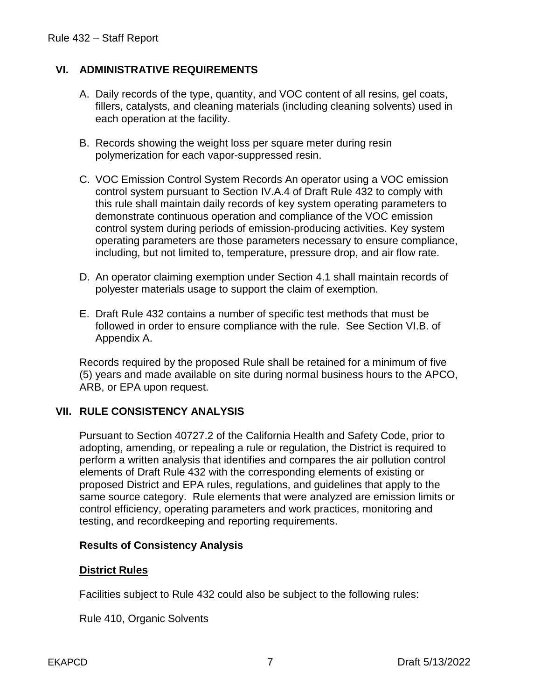#### **VI. ADMINISTRATIVE REQUIREMENTS**

- A. Daily records of the type, quantity, and VOC content of all resins, gel coats, fillers, catalysts, and cleaning materials (including cleaning solvents) used in each operation at the facility.
- B. Records showing the weight loss per square meter during resin polymerization for each vapor-suppressed resin.
- C. VOC Emission Control System Records An operator using a VOC emission control system pursuant to Section IV.A.4 of Draft Rule 432 to comply with this rule shall maintain daily records of key system operating parameters to demonstrate continuous operation and compliance of the VOC emission control system during periods of emission-producing activities. Key system operating parameters are those parameters necessary to ensure compliance, including, but not limited to, temperature, pressure drop, and air flow rate.
- D. An operator claiming exemption under Section 4.1 shall maintain records of polyester materials usage to support the claim of exemption.
- E. Draft Rule 432 contains a number of specific test methods that must be followed in order to ensure compliance with the rule. See Section VI.B. of Appendix A.

Records required by the proposed Rule shall be retained for a minimum of five (5) years and made available on site during normal business hours to the APCO, ARB, or EPA upon request.

#### **VII. RULE CONSISTENCY ANALYSIS**

Pursuant to Section 40727.2 of the California Health and Safety Code, prior to adopting, amending, or repealing a rule or regulation, the District is required to perform a written analysis that identifies and compares the air pollution control elements of Draft Rule 432 with the corresponding elements of existing or proposed District and EPA rules, regulations, and guidelines that apply to the same source category. Rule elements that were analyzed are emission limits or control efficiency, operating parameters and work practices, monitoring and testing, and recordkeeping and reporting requirements.

#### **Results of Consistency Analysis**

#### **District Rules**

Facilities subject to Rule 432 could also be subject to the following rules:

Rule 410, Organic Solvents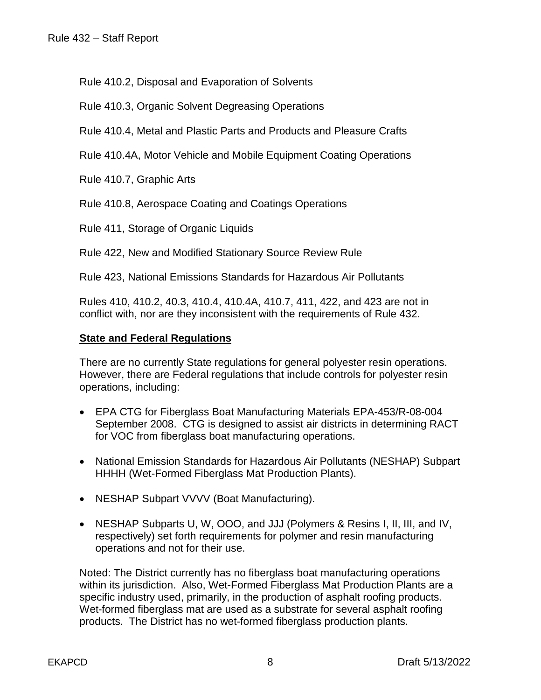Rule 410.2, Disposal and Evaporation of Solvents

Rule 410.3, Organic Solvent Degreasing Operations

Rule 410.4, Metal and Plastic Parts and Products and Pleasure Crafts

Rule 410.4A, Motor Vehicle and Mobile Equipment Coating Operations

Rule 410.7, Graphic Arts

Rule 410.8, Aerospace Coating and Coatings Operations

Rule 411, Storage of Organic Liquids

Rule 422, New and Modified Stationary Source Review Rule

Rule 423, National Emissions Standards for Hazardous Air Pollutants

Rules 410, 410.2, 40.3, 410.4, 410.4A, 410.7, 411, 422, and 423 are not in conflict with, nor are they inconsistent with the requirements of Rule 432.

#### **State and Federal Regulations**

There are no currently State regulations for general polyester resin operations. However, there are Federal regulations that include controls for polyester resin operations, including:

- EPA CTG for Fiberglass Boat Manufacturing Materials EPA-453/R-08-004 September 2008. CTG is designed to assist air districts in determining RACT for VOC from fiberglass boat manufacturing operations.
- National Emission Standards for Hazardous Air Pollutants (NESHAP) Subpart HHHH (Wet-Formed Fiberglass Mat Production Plants).
- NESHAP Subpart VVVV (Boat Manufacturing).
- NESHAP Subparts U, W, OOO, and JJJ (Polymers & Resins I, II, III, and IV, respectively) set forth requirements for polymer and resin manufacturing operations and not for their use.

Noted: The District currently has no fiberglass boat manufacturing operations within its jurisdiction. Also, Wet-Formed Fiberglass Mat Production Plants are a specific industry used, primarily, in the production of asphalt roofing products. Wet-formed fiberglass mat are used as a substrate for several asphalt roofing products. The District has no wet-formed fiberglass production plants.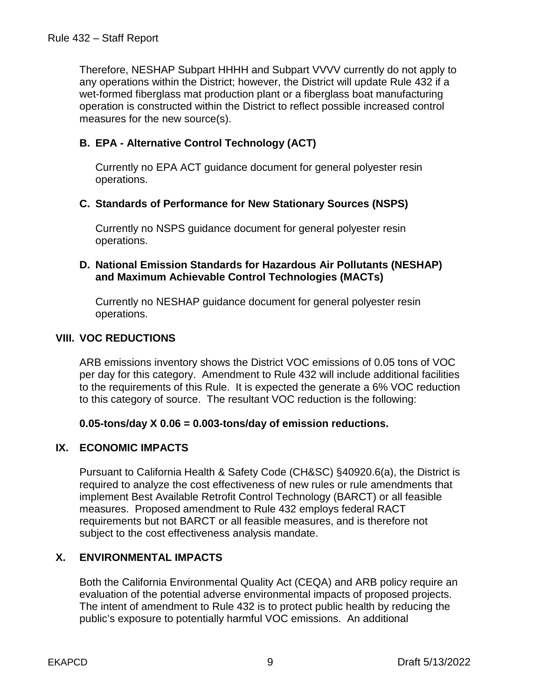Therefore, NESHAP Subpart HHHH and Subpart VVVV currently do not apply to any operations within the District; however, the District will update Rule 432 if a wet-formed fiberglass mat production plant or a fiberglass boat manufacturing operation is constructed within the District to reflect possible increased control measures for the new source(s).

#### **B. EPA - Alternative Control Technology (ACT)**

Currently no EPA ACT guidance document for general polyester resin operations.

#### **C. Standards of Performance for New Stationary Sources (NSPS)**

Currently no NSPS guidance document for general polyester resin operations.

#### **D. National Emission Standards for Hazardous Air Pollutants (NESHAP) and Maximum Achievable Control Technologies (MACTs)**

Currently no NESHAP guidance document for general polyester resin operations.

#### **VIII. VOC REDUCTIONS**

ARB emissions inventory shows the District VOC emissions of 0.05 tons of VOC per day for this category. Amendment to Rule 432 will include additional facilities to the requirements of this Rule. It is expected the generate a 6% VOC reduction to this category of source. The resultant VOC reduction is the following:

#### **0.05-tons/day X 0.06 = 0.003-tons/day of emission reductions.**

#### **IX. ECONOMIC IMPACTS**

Pursuant to California Health & Safety Code (CH&SC) §40920.6(a), the District is required to analyze the cost effectiveness of new rules or rule amendments that implement Best Available Retrofit Control Technology (BARCT) or all feasible measures. Proposed amendment to Rule 432 employs federal RACT requirements but not BARCT or all feasible measures, and is therefore not subject to the cost effectiveness analysis mandate.

#### **X. ENVIRONMENTAL IMPACTS**

Both the California Environmental Quality Act (CEQA) and ARB policy require an evaluation of the potential adverse environmental impacts of proposed projects. The intent of amendment to Rule 432 is to protect public health by reducing the public's exposure to potentially harmful VOC emissions. An additional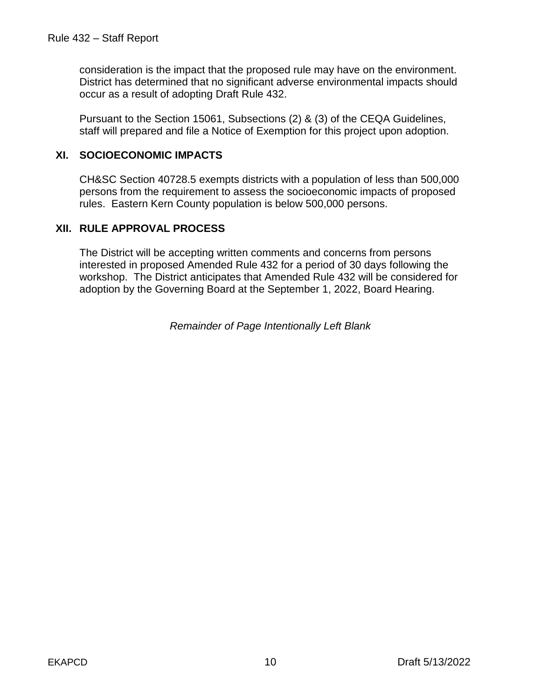consideration is the impact that the proposed rule may have on the environment. District has determined that no significant adverse environmental impacts should occur as a result of adopting Draft Rule 432.

Pursuant to the Section 15061, Subsections (2) & (3) of the CEQA Guidelines, staff will prepared and file a Notice of Exemption for this project upon adoption.

#### **XI. SOCIOECONOMIC IMPACTS**

CH&SC Section 40728.5 exempts districts with a population of less than 500,000 persons from the requirement to assess the socioeconomic impacts of proposed rules. Eastern Kern County population is below 500,000 persons.

#### **XII. RULE APPROVAL PROCESS**

The District will be accepting written comments and concerns from persons interested in proposed Amended Rule 432 for a period of 30 days following the workshop. The District anticipates that Amended Rule 432 will be considered for adoption by the Governing Board at the September 1, 2022, Board Hearing.

*Remainder of Page Intentionally Left Blank*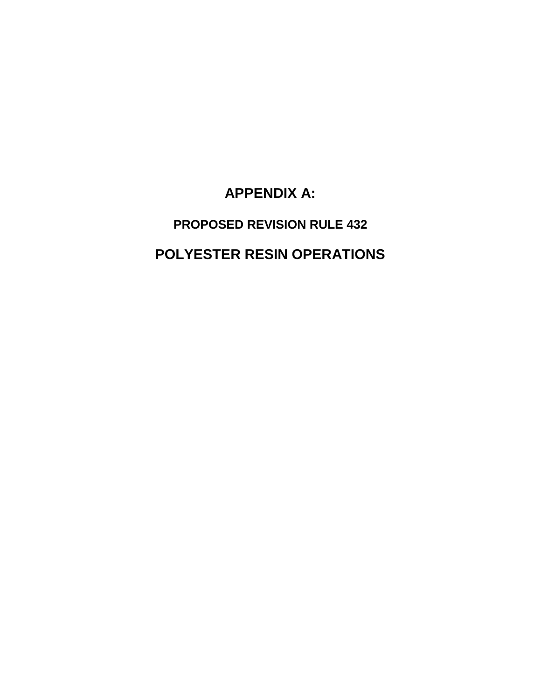**APPENDIX A:**

**PROPOSED REVISION RULE 432 POLYESTER RESIN OPERATIONS**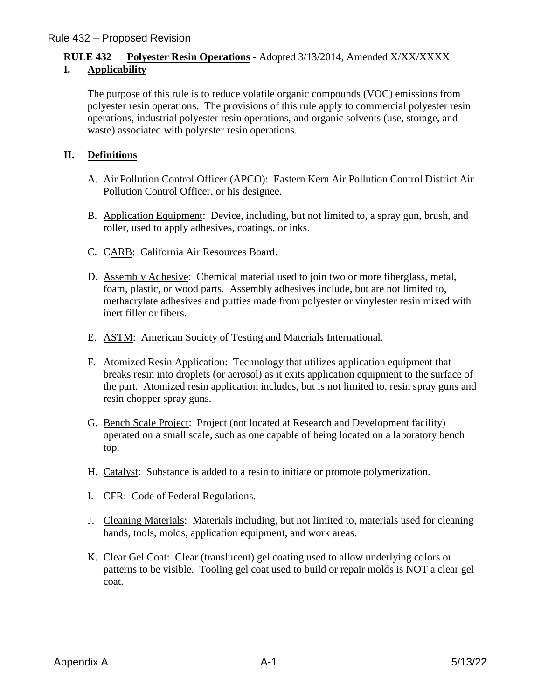#### **RULE 432 Polyester Resin Operations** - Adopted 3/13/2014, Amended X/XX/XXXX **I. Applicability**

The purpose of this rule is to reduce volatile organic compounds (VOC) emissions from polyester resin operations. The provisions of this rule apply to commercial polyester resin operations, industrial polyester resin operations, and organic solvents (use, storage, and waste) associated with polyester resin operations.

#### **II. Definitions**

- A. Air Pollution Control Officer (APCO): Eastern Kern Air Pollution Control District Air Pollution Control Officer, or his designee.
- B. Application Equipment: Device, including, but not limited to, a spray gun, brush, and roller, used to apply adhesives, coatings, or inks.
- C. CARB: California Air Resources Board.
- D. Assembly Adhesive: Chemical material used to join two or more fiberglass, metal, foam, plastic, or wood parts. Assembly adhesives include, but are not limited to, methacrylate adhesives and putties made from polyester or vinylester resin mixed with inert filler or fibers.
- E. ASTM: American Society of Testing and Materials International.
- F. Atomized Resin Application: Technology that utilizes application equipment that breaks resin into droplets (or aerosol) as it exits application equipment to the surface of the part. Atomized resin application includes, but is not limited to, resin spray guns and resin chopper spray guns.
- G. Bench Scale Project: Project (not located at Research and Development facility) operated on a small scale, such as one capable of being located on a laboratory bench top.
- H. Catalyst: Substance is added to a resin to initiate or promote polymerization.
- I. CFR: Code of Federal Regulations.
- J. Cleaning Materials: Materials including, but not limited to, materials used for cleaning hands, tools, molds, application equipment, and work areas.
- K. Clear Gel Coat: Clear (translucent) gel coating used to allow underlying colors or patterns to be visible. Tooling gel coat used to build or repair molds is NOT a clear gel coat.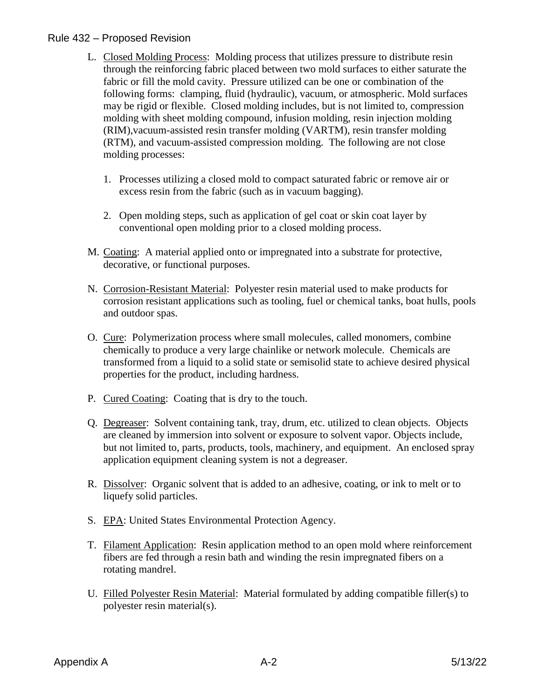- L. Closed Molding Process: Molding process that utilizes pressure to distribute resin through the reinforcing fabric placed between two mold surfaces to either saturate the fabric or fill the mold cavity. Pressure utilized can be one or combination of the following forms: clamping, fluid (hydraulic), vacuum, or atmospheric. Mold surfaces may be rigid or flexible. Closed molding includes, but is not limited to, compression molding with sheet molding compound, infusion molding, resin injection molding (RIM),vacuum-assisted resin transfer molding (VARTM), resin transfer molding (RTM), and vacuum-assisted compression molding. The following are not close molding processes:
	- 1. Processes utilizing a closed mold to compact saturated fabric or remove air or excess resin from the fabric (such as in vacuum bagging).
	- 2. Open molding steps, such as application of gel coat or skin coat layer by conventional open molding prior to a closed molding process.
- M. Coating: A material applied onto or impregnated into a substrate for protective, decorative, or functional purposes.
- N. Corrosion-Resistant Material: Polyester resin material used to make products for corrosion resistant applications such as tooling, fuel or chemical tanks, boat hulls, pools and outdoor spas.
- O. Cure: Polymerization process where small molecules, called monomers, combine chemically to produce a very large chainlike or network molecule. Chemicals are transformed from a liquid to a solid state or semisolid state to achieve desired physical properties for the product, including hardness.
- P. Cured Coating: Coating that is dry to the touch.
- Q. Degreaser: Solvent containing tank, tray, drum, etc. utilized to clean objects. Objects are cleaned by immersion into solvent or exposure to solvent vapor. Objects include, but not limited to, parts, products, tools, machinery, and equipment. An enclosed spray application equipment cleaning system is not a degreaser.
- R. Dissolver: Organic solvent that is added to an adhesive, coating, or ink to melt or to liquefy solid particles.
- S. EPA: United States Environmental Protection Agency.
- T. Filament Application: Resin application method to an open mold where reinforcement fibers are fed through a resin bath and winding the resin impregnated fibers on a rotating mandrel.
- U. Filled Polyester Resin Material: Material formulated by adding compatible filler(s) to polyester resin material(s).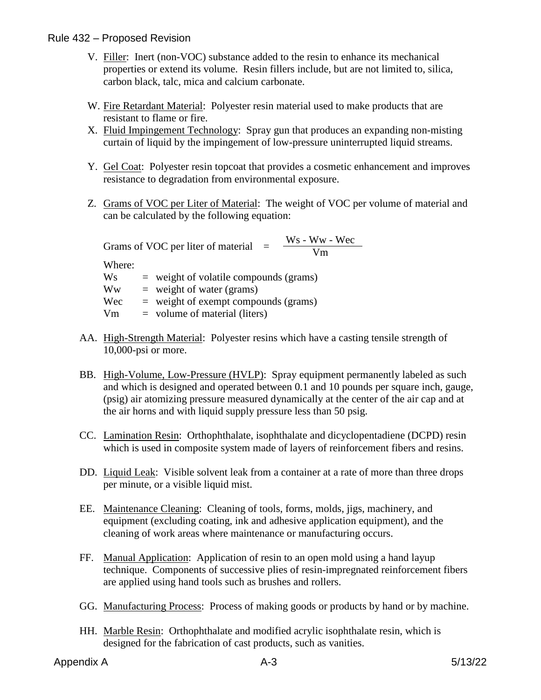- V. Filler: Inert (non-VOC) substance added to the resin to enhance its mechanical properties or extend its volume. Resin fillers include, but are not limited to, silica, carbon black, talc, mica and calcium carbonate.
- W. Fire Retardant Material: Polyester resin material used to make products that are resistant to flame or fire.
- X. Fluid Impingement Technology: Spray gun that produces an expanding non-misting curtain of liquid by the impingement of low-pressure uninterrupted liquid streams.
- Y. Gel Coat: Polyester resin topcoat that provides a cosmetic enhancement and improves resistance to degradation from environmental exposure.
- Z. Grams of VOC per Liter of Material: The weight of VOC per volume of material and can be calculated by the following equation:

Grams of VOC per liter of material  $=$   $\frac{Ws - Ww - Wec}{Vm}$ Where:  $Ws$  = weight of volatile compounds (grams)  $\mathbf{W}\mathbf{w} = \text{weight of water (grams)}$  $Wec$  = weight of exempt compounds (grams)  $Vm = volume of material (liters)$ 

- AA. High-Strength Material: Polyester resins which have a casting tensile strength of 10,000-psi or more.
- BB. High-Volume, Low-Pressure (HVLP): Spray equipment permanently labeled as such and which is designed and operated between 0.1 and 10 pounds per square inch, gauge, (psig) air atomizing pressure measured dynamically at the center of the air cap and at the air horns and with liquid supply pressure less than 50 psig.
- CC. Lamination Resin: Orthophthalate, isophthalate and dicyclopentadiene (DCPD) resin which is used in composite system made of layers of reinforcement fibers and resins.
- DD. Liquid Leak: Visible solvent leak from a container at a rate of more than three drops per minute, or a visible liquid mist.
- EE. Maintenance Cleaning: Cleaning of tools, forms, molds, jigs, machinery, and equipment (excluding coating, ink and adhesive application equipment), and the cleaning of work areas where maintenance or manufacturing occurs.
- FF. Manual Application: Application of resin to an open mold using a hand layup technique. Components of successive plies of resin-impregnated reinforcement fibers are applied using hand tools such as brushes and rollers.
- GG. Manufacturing Process: Process of making goods or products by hand or by machine.
- HH. Marble Resin: Orthophthalate and modified acrylic isophthalate resin, which is designed for the fabrication of cast products, such as vanities.
- Appendix A 3 6/13/22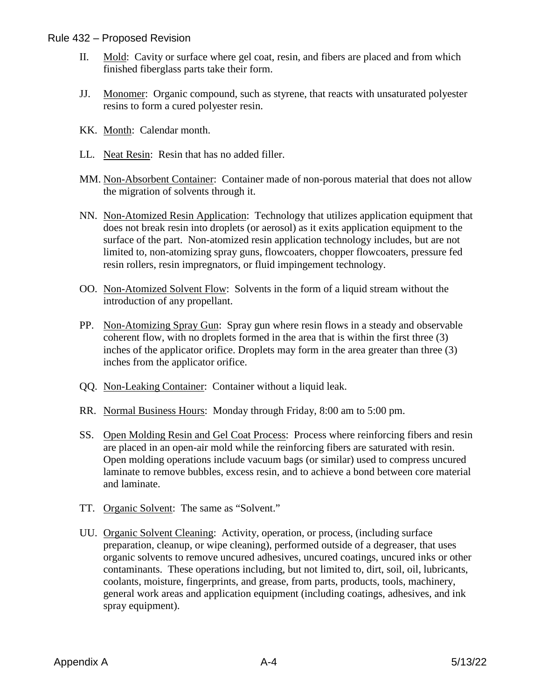- II. Mold: Cavity or surface where gel coat, resin, and fibers are placed and from which finished fiberglass parts take their form.
- JJ. Monomer: Organic compound, such as styrene, that reacts with unsaturated polyester resins to form a cured polyester resin.
- KK. Month: Calendar month.
- LL. Neat Resin: Resin that has no added filler.
- MM. Non-Absorbent Container: Container made of non-porous material that does not allow the migration of solvents through it.
- NN. Non-Atomized Resin Application: Technology that utilizes application equipment that does not break resin into droplets (or aerosol) as it exits application equipment to the surface of the part. Non-atomized resin application technology includes, but are not limited to, non-atomizing spray guns, flowcoaters, chopper flowcoaters, pressure fed resin rollers, resin impregnators, or fluid impingement technology.
- OO. Non-Atomized Solvent Flow: Solvents in the form of a liquid stream without the introduction of any propellant.
- PP. Non-Atomizing Spray Gun: Spray gun where resin flows in a steady and observable coherent flow, with no droplets formed in the area that is within the first three (3) inches of the applicator orifice. Droplets may form in the area greater than three (3) inches from the applicator orifice.
- QQ. Non-Leaking Container: Container without a liquid leak.
- RR. Normal Business Hours: Monday through Friday, 8:00 am to 5:00 pm.
- SS. Open Molding Resin and Gel Coat Process: Process where reinforcing fibers and resin are placed in an open-air mold while the reinforcing fibers are saturated with resin. Open molding operations include vacuum bags (or similar) used to compress uncured laminate to remove bubbles, excess resin, and to achieve a bond between core material and laminate.
- TT. Organic Solvent: The same as "Solvent."
- UU. Organic Solvent Cleaning: Activity, operation, or process, (including surface preparation, cleanup, or wipe cleaning), performed outside of a degreaser, that uses organic solvents to remove uncured adhesives, uncured coatings, uncured inks or other contaminants. These operations including, but not limited to, dirt, soil, oil, lubricants, coolants, moisture, fingerprints, and grease, from parts, products, tools, machinery, general work areas and application equipment (including coatings, adhesives, and ink spray equipment).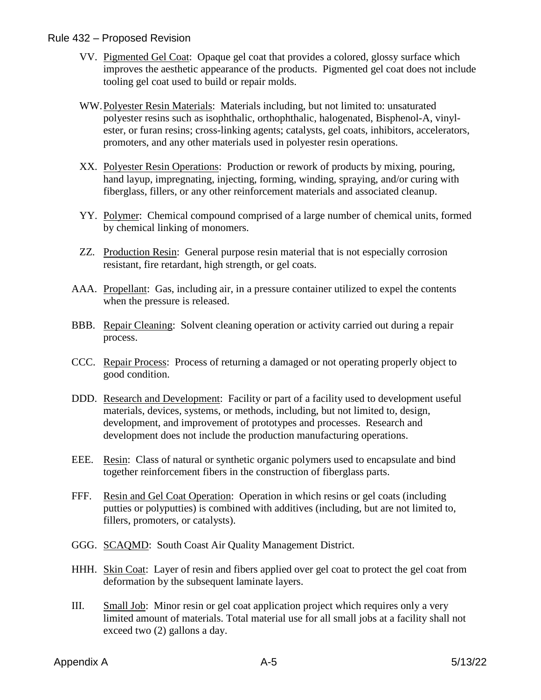- VV. Pigmented Gel Coat: Opaque gel coat that provides a colored, glossy surface which improves the aesthetic appearance of the products. Pigmented gel coat does not include tooling gel coat used to build or repair molds.
- WW.Polyester Resin Materials: Materials including, but not limited to: unsaturated polyester resins such as isophthalic, orthophthalic, halogenated, Bisphenol-A, vinylester, or furan resins; cross-linking agents; catalysts, gel coats, inhibitors, accelerators, promoters, and any other materials used in polyester resin operations.
- XX. Polyester Resin Operations: Production or rework of products by mixing, pouring, hand layup, impregnating, injecting, forming, winding, spraying, and/or curing with fiberglass, fillers, or any other reinforcement materials and associated cleanup.
- YY. Polymer: Chemical compound comprised of a large number of chemical units, formed by chemical linking of monomers.
- ZZ. Production Resin: General purpose resin material that is not especially corrosion resistant, fire retardant, high strength, or gel coats.
- AAA. Propellant: Gas, including air, in a pressure container utilized to expel the contents when the pressure is released.
- BBB. Repair Cleaning: Solvent cleaning operation or activity carried out during a repair process.
- CCC. Repair Process: Process of returning a damaged or not operating properly object to good condition.
- DDD. Research and Development: Facility or part of a facility used to development useful materials, devices, systems, or methods, including, but not limited to, design, development, and improvement of prototypes and processes. Research and development does not include the production manufacturing operations.
- EEE. Resin: Class of natural or synthetic organic polymers used to encapsulate and bind together reinforcement fibers in the construction of fiberglass parts.
- FFF. Resin and Gel Coat Operation: Operation in which resins or gel coats (including putties or polyputties) is combined with additives (including, but are not limited to, fillers, promoters, or catalysts).
- GGG. SCAQMD: South Coast Air Quality Management District.
- HHH. Skin Coat: Layer of resin and fibers applied over gel coat to protect the gel coat from deformation by the subsequent laminate layers.
- III. Small Job: Minor resin or gel coat application project which requires only a very limited amount of materials. Total material use for all small jobs at a facility shall not exceed two (2) gallons a day.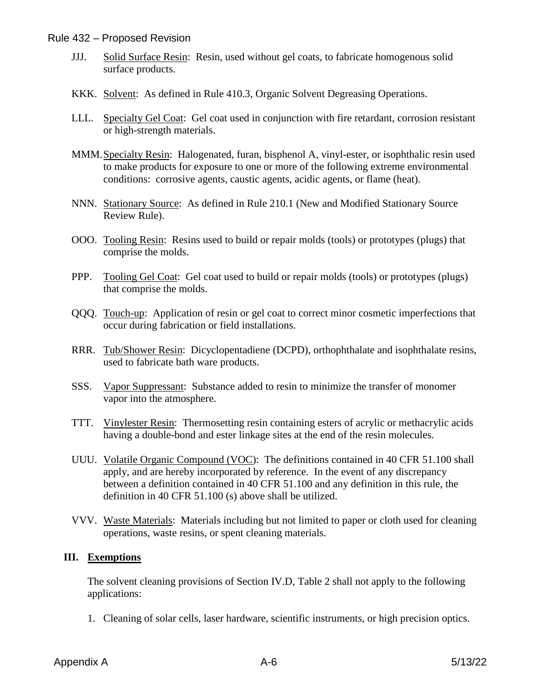- JJJ. Solid Surface Resin: Resin, used without gel coats, to fabricate homogenous solid surface products.
- KKK. Solvent: As defined in Rule 410.3, Organic Solvent Degreasing Operations.
- LLL. Specialty Gel Coat: Gel coat used in conjunction with fire retardant, corrosion resistant or high-strength materials.
- MMM.Specialty Resin: Halogenated, furan, bisphenol A, vinyl-ester, or isophthalic resin used to make products for exposure to one or more of the following extreme environmental conditions: corrosive agents, caustic agents, acidic agents, or flame (heat).
- NNN. Stationary Source: As defined in Rule 210.1 (New and Modified Stationary Source Review Rule).
- OOO. Tooling Resin: Resins used to build or repair molds (tools) or prototypes (plugs) that comprise the molds.
- PPP. Tooling Gel Coat: Gel coat used to build or repair molds (tools) or prototypes (plugs) that comprise the molds.
- QQQ. Touch-up: Application of resin or gel coat to correct minor cosmetic imperfections that occur during fabrication or field installations.
- RRR. Tub/Shower Resin: Dicyclopentadiene (DCPD), orthophthalate and isophthalate resins, used to fabricate bath ware products.
- SSS. Vapor Suppressant: Substance added to resin to minimize the transfer of monomer vapor into the atmosphere.
- TTT. Vinylester Resin: Thermosetting resin containing esters of acrylic or methacrylic acids having a double-bond and ester linkage sites at the end of the resin molecules.
- UUU. Volatile Organic Compound (VOC): The definitions contained in 40 CFR 51.100 shall apply, and are hereby incorporated by reference. In the event of any discrepancy between a definition contained in 40 CFR 51.100 and any definition in this rule, the definition in 40 CFR 51.100 (s) above shall be utilized.
- VVV. Waste Materials: Materials including but not limited to paper or cloth used for cleaning operations, waste resins, or spent cleaning materials.

#### **III. Exemptions**

The solvent cleaning provisions of Section IV.D, Table 2 shall not apply to the following applications:

1. Cleaning of solar cells, laser hardware, scientific instruments, or high precision optics.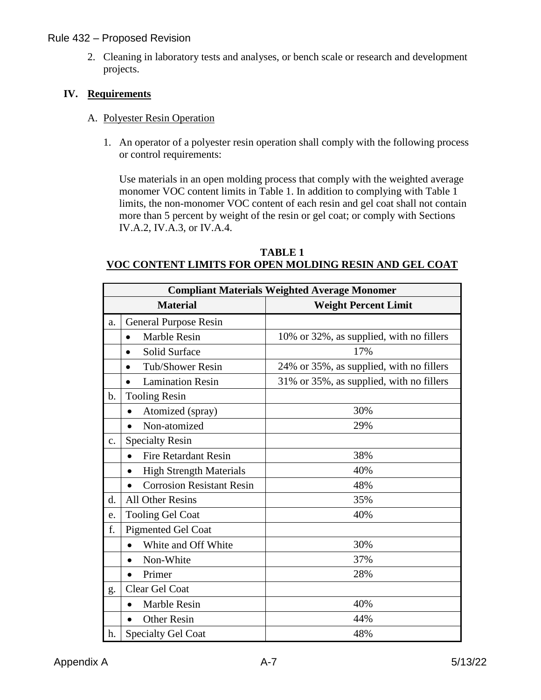2. Cleaning in laboratory tests and analyses, or bench scale or research and development projects.

#### **IV. Requirements**

#### A. Polyester Resin Operation

1. An operator of a polyester resin operation shall comply with the following process or control requirements:

Use materials in an open molding process that comply with the weighted average monomer VOC content limits in Table 1. In addition to complying with Table 1 limits, the non-monomer VOC content of each resin and gel coat shall not contain more than 5 percent by weight of the resin or gel coat; or comply with Sections IV.A.2, IV.A.3, or IV.A.4.

#### **TABLE 1 VOC CONTENT LIMITS FOR OPEN MOLDING RESIN AND GEL COAT**

|               | <b>Compliant Materials Weighted Average Monomer</b> |                                          |  |
|---------------|-----------------------------------------------------|------------------------------------------|--|
|               | <b>Material</b>                                     | <b>Weight Percent Limit</b>              |  |
| a.            | <b>General Purpose Resin</b>                        |                                          |  |
|               | Marble Resin<br>$\bullet$                           | 10% or 32%, as supplied, with no fillers |  |
|               | Solid Surface<br>$\bullet$                          | 17%                                      |  |
|               | Tub/Shower Resin<br>$\bullet$                       | 24% or 35%, as supplied, with no fillers |  |
|               | <b>Lamination Resin</b><br>$\bullet$                | 31% or 35%, as supplied, with no fillers |  |
| $\mathbf b$ . | <b>Tooling Resin</b>                                |                                          |  |
|               | Atomized (spray)                                    | 30%                                      |  |
|               | Non-atomized                                        | 29%                                      |  |
| c.            | <b>Specialty Resin</b>                              |                                          |  |
|               | <b>Fire Retardant Resin</b><br>$\bullet$            | 38%                                      |  |
|               | <b>High Strength Materials</b><br>$\bullet$         | 40%                                      |  |
|               | <b>Corrosion Resistant Resin</b><br>$\bullet$       | 48%                                      |  |
| d.            | <b>All Other Resins</b>                             | 35%                                      |  |
| e.            | <b>Tooling Gel Coat</b>                             | 40%                                      |  |
| f.            | <b>Pigmented Gel Coat</b>                           |                                          |  |
|               | White and Off White                                 | 30%                                      |  |
|               | Non-White                                           | 37%                                      |  |
|               | Primer                                              | 28%                                      |  |
| g.            | Clear Gel Coat                                      |                                          |  |
|               | Marble Resin                                        | 40%                                      |  |
|               | <b>Other Resin</b><br>$\bullet$                     | 44%                                      |  |
| h.            | <b>Specialty Gel Coat</b>                           | 48%                                      |  |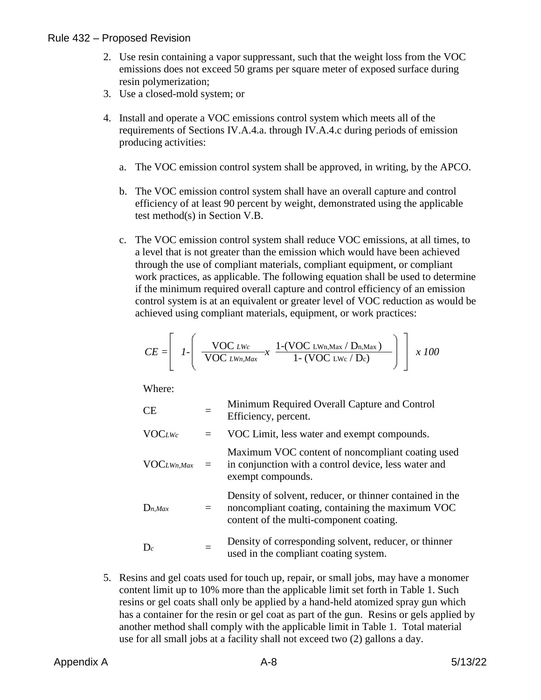- 2. Use resin containing a vapor suppressant, such that the weight loss from the VOC emissions does not exceed 50 grams per square meter of exposed surface during resin polymerization;
- 3. Use a closed-mold system; or
- 4. Install and operate a VOC emissions control system which meets all of the requirements of Sections IV.A.4.a. through IV.A.4.c during periods of emission producing activities:
	- a. The VOC emission control system shall be approved, in writing, by the APCO.
	- b. The VOC emission control system shall have an overall capture and control efficiency of at least 90 percent by weight, demonstrated using the applicable test method(s) in Section V.B.
	- c. The VOC emission control system shall reduce VOC emissions, at all times, to a level that is not greater than the emission which would have been achieved through the use of compliant materials, compliant equipment, or compliant work practices, as applicable. The following equation shall be used to determine if the minimum required overall capture and control efficiency of an emission control system is at an equivalent or greater level of VOC reduction as would be achieved using compliant materials, equipment, or work practices:

$$
CE = \left[ \left[ I - \left( \frac{\text{VOC }_{LWc}}{\text{VOC }_{LWn,Max}} x \frac{1-(\text{VOC }_{LWn,Max}/D_{n,Max})}{1-(\text{VOC }_{LWc}/D_c)} \right) \right] x 100
$$

Where:

| <b>CE</b>        |     | Minimum Required Overall Capture and Control<br>Efficiency, percent.                                                                                    |
|------------------|-----|---------------------------------------------------------------------------------------------------------------------------------------------------------|
| <b>VOCLWc</b>    |     | VOC Limit, less water and exempt compounds.                                                                                                             |
| $VOC_{LWn, Max}$ | $=$ | Maximum VOC content of noncompliant coating used<br>in conjunction with a control device, less water and<br>exempt compounds.                           |
| $D_{n,Max}$      |     | Density of solvent, reducer, or thinner contained in the<br>noncompliant coating, containing the maximum VOC<br>content of the multi-component coating. |
| $D_c$            |     | Density of corresponding solvent, reducer, or thinner<br>used in the compliant coating system.                                                          |

5. Resins and gel coats used for touch up, repair, or small jobs, may have a monomer content limit up to 10% more than the applicable limit set forth in Table 1. Such resins or gel coats shall only be applied by a hand-held atomized spray gun which has a container for the resin or gel coat as part of the gun. Resins or gels applied by another method shall comply with the applicable limit in Table 1. Total material use for all small jobs at a facility shall not exceed two (2) gallons a day.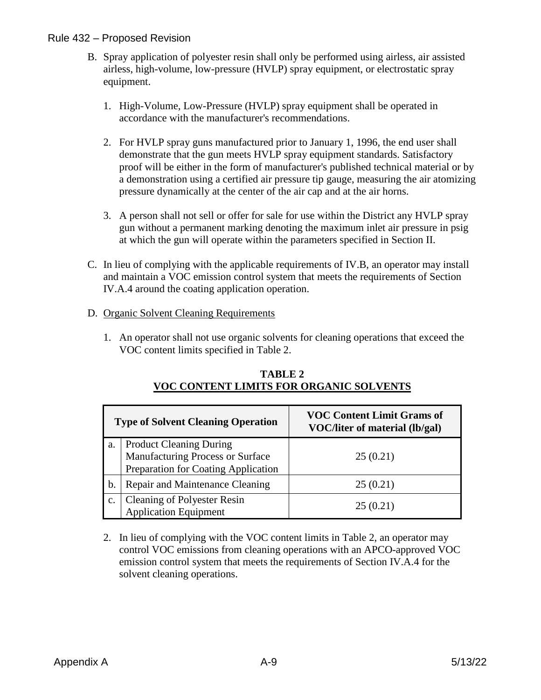- B. Spray application of polyester resin shall only be performed using airless, air assisted airless, high-volume, low-pressure (HVLP) spray equipment, or electrostatic spray equipment.
	- 1. High-Volume, Low-Pressure (HVLP) spray equipment shall be operated in accordance with the manufacturer's recommendations.
	- 2. For HVLP spray guns manufactured prior to January 1, 1996, the end user shall demonstrate that the gun meets HVLP spray equipment standards. Satisfactory proof will be either in the form of manufacturer's published technical material or by a demonstration using a certified air pressure tip gauge, measuring the air atomizing pressure dynamically at the center of the air cap and at the air horns.
	- 3. A person shall not sell or offer for sale for use within the District any HVLP spray gun without a permanent marking denoting the maximum inlet air pressure in psig at which the gun will operate within the parameters specified in Section II.
- C. In lieu of complying with the applicable requirements of IV.B, an operator may install and maintain a VOC emission control system that meets the requirements of Section IV.A.4 around the coating application operation.

#### D. Organic Solvent Cleaning Requirements

1. An operator shall not use organic solvents for cleaning operations that exceed the VOC content limits specified in Table 2.

| <b>Type of Solvent Cleaning Operation</b> |                                                                                                           | <b>VOC Content Limit Grams of</b><br>VOC/liter of material (lb/gal) |
|-------------------------------------------|-----------------------------------------------------------------------------------------------------------|---------------------------------------------------------------------|
| a.                                        | <b>Product Cleaning During</b><br>Manufacturing Process or Surface<br>Preparation for Coating Application | 25(0.21)                                                            |
| b.                                        | Repair and Maintenance Cleaning                                                                           | 25(0.21)                                                            |
| $\mathbf{C}$ .                            | <b>Cleaning of Polyester Resin</b><br><b>Application Equipment</b>                                        | 25(0.21)                                                            |

#### **TABLE 2 VOC CONTENT LIMITS FOR ORGANIC SOLVENTS**

2. In lieu of complying with the VOC content limits in Table 2, an operator may control VOC emissions from cleaning operations with an APCO-approved VOC emission control system that meets the requirements of Section IV.A.4 for the solvent cleaning operations.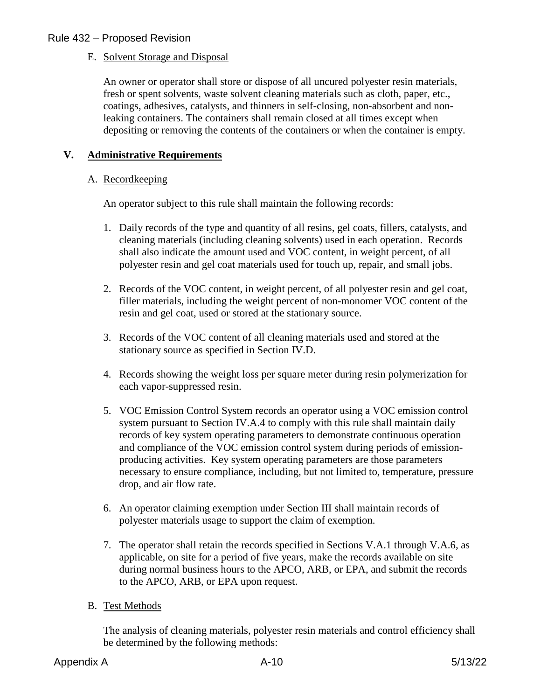#### E. Solvent Storage and Disposal

An owner or operator shall store or dispose of all uncured polyester resin materials, fresh or spent solvents, waste solvent cleaning materials such as cloth, paper, etc., coatings, adhesives, catalysts, and thinners in self-closing, non-absorbent and nonleaking containers. The containers shall remain closed at all times except when depositing or removing the contents of the containers or when the container is empty.

#### **V. Administrative Requirements**

#### A. Recordkeeping

An operator subject to this rule shall maintain the following records:

- 1. Daily records of the type and quantity of all resins, gel coats, fillers, catalysts, and cleaning materials (including cleaning solvents) used in each operation. Records shall also indicate the amount used and VOC content, in weight percent, of all polyester resin and gel coat materials used for touch up, repair, and small jobs.
- 2. Records of the VOC content, in weight percent, of all polyester resin and gel coat, filler materials, including the weight percent of non-monomer VOC content of the resin and gel coat, used or stored at the stationary source.
- 3. Records of the VOC content of all cleaning materials used and stored at the stationary source as specified in Section IV.D.
- 4. Records showing the weight loss per square meter during resin polymerization for each vapor-suppressed resin.
- 5. VOC Emission Control System records an operator using a VOC emission control system pursuant to Section IV.A.4 to comply with this rule shall maintain daily records of key system operating parameters to demonstrate continuous operation and compliance of the VOC emission control system during periods of emissionproducing activities. Key system operating parameters are those parameters necessary to ensure compliance, including, but not limited to, temperature, pressure drop, and air flow rate.
- 6. An operator claiming exemption under Section III shall maintain records of polyester materials usage to support the claim of exemption.
- 7. The operator shall retain the records specified in Sections V.A.1 through V.A.6, as applicable, on site for a period of five years, make the records available on site during normal business hours to the APCO, ARB, or EPA, and submit the records to the APCO, ARB, or EPA upon request.
- B. Test Methods

The analysis of cleaning materials, polyester resin materials and control efficiency shall be determined by the following methods: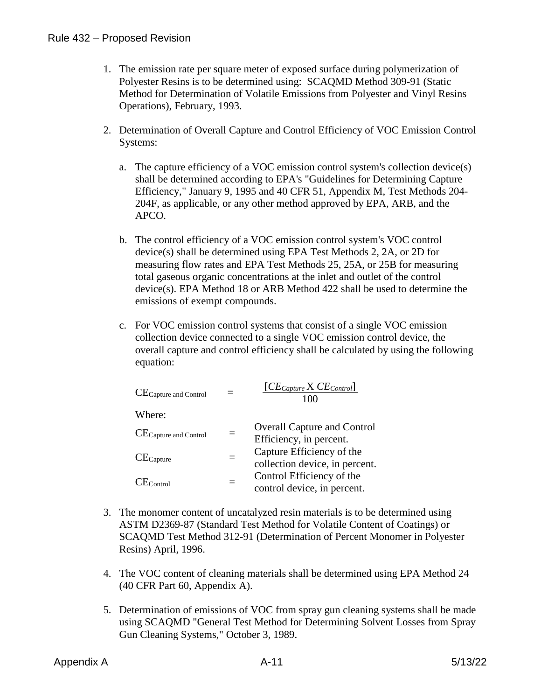- 1. The emission rate per square meter of exposed surface during polymerization of Polyester Resins is to be determined using: SCAQMD Method 309-91 (Static Method for Determination of Volatile Emissions from Polyester and Vinyl Resins Operations), February, 1993.
- 2. Determination of Overall Capture and Control Efficiency of VOC Emission Control Systems:
	- a. The capture efficiency of a VOC emission control system's collection device(s) shall be determined according to EPA's "Guidelines for Determining Capture Efficiency," January 9, 1995 and 40 CFR 51, Appendix M, Test Methods 204- 204F, as applicable, or any other method approved by EPA, ARB, and the APCO.
	- b. The control efficiency of a VOC emission control system's VOC control device(s) shall be determined using EPA Test Methods 2, 2A, or 2D for measuring flow rates and EPA Test Methods 25, 25A, or 25B for measuring total gaseous organic concentrations at the inlet and outlet of the control device(s). EPA Method 18 or ARB Method 422 shall be used to determine the emissions of exempt compounds.
	- c. For VOC emission control systems that consist of a single VOC emission collection device connected to a single VOC emission control device, the overall capture and control efficiency shall be calculated by using the following equation:

| CE <sub>Capture</sub> and Control |          | $[CE_{Capture} \times CE_{Control}]$<br>100                   |
|-----------------------------------|----------|---------------------------------------------------------------|
| Where:                            |          |                                                               |
| CE <sub>Capture</sub> and Control |          | <b>Overall Capture and Control</b><br>Efficiency, in percent. |
| $CE_{Capture}$                    | $\equiv$ | Capture Efficiency of the<br>collection device, in percent.   |
| $CE_{Control}$                    |          | Control Efficiency of the<br>control device, in percent.      |

- 3. The monomer content of uncatalyzed resin materials is to be determined using ASTM D2369-87 (Standard Test Method for Volatile Content of Coatings) or SCAQMD Test Method 312-91 (Determination of Percent Monomer in Polyester Resins) April, 1996.
- 4. The VOC content of cleaning materials shall be determined using EPA Method 24 (40 CFR Part 60, Appendix A).
- 5. Determination of emissions of VOC from spray gun cleaning systems shall be made using SCAQMD "General Test Method for Determining Solvent Losses from Spray Gun Cleaning Systems," October 3, 1989.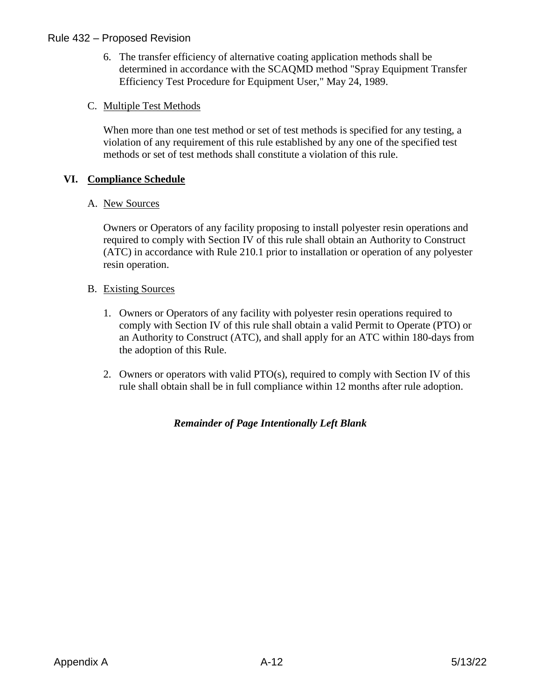6. The transfer efficiency of alternative coating application methods shall be determined in accordance with the SCAQMD method "Spray Equipment Transfer Efficiency Test Procedure for Equipment User," May 24, 1989.

#### C. Multiple Test Methods

When more than one test method or set of test methods is specified for any testing, a violation of any requirement of this rule established by any one of the specified test methods or set of test methods shall constitute a violation of this rule.

#### **VI. Compliance Schedule**

#### A. New Sources

Owners or Operators of any facility proposing to install polyester resin operations and required to comply with Section IV of this rule shall obtain an Authority to Construct (ATC) in accordance with Rule 210.1 prior to installation or operation of any polyester resin operation.

#### B. Existing Sources

- 1. Owners or Operators of any facility with polyester resin operations required to comply with Section IV of this rule shall obtain a valid Permit to Operate (PTO) or an Authority to Construct (ATC), and shall apply for an ATC within 180-days from the adoption of this Rule.
- 2. Owners or operators with valid PTO(s), required to comply with Section IV of this rule shall obtain shall be in full compliance within 12 months after rule adoption.

#### *Remainder of Page Intentionally Left Blank*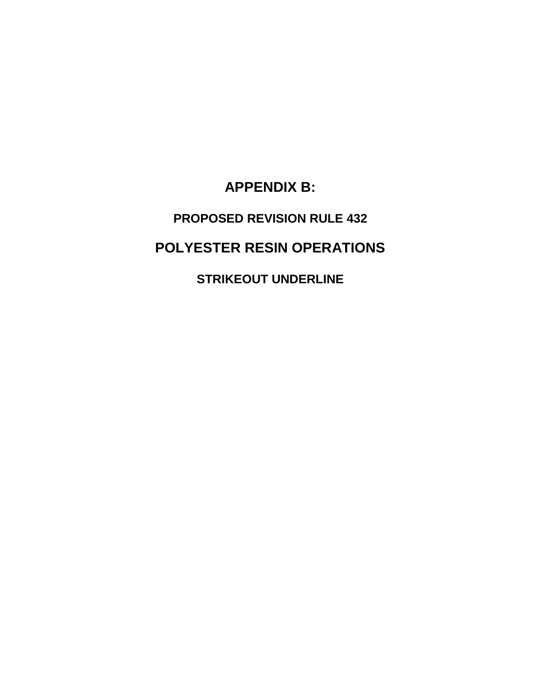**APPENDIX B:**

# **PROPOSED REVISION RULE 432**

## **POLYESTER RESIN OPERATIONS**

**STRIKEOUT UNDERLINE**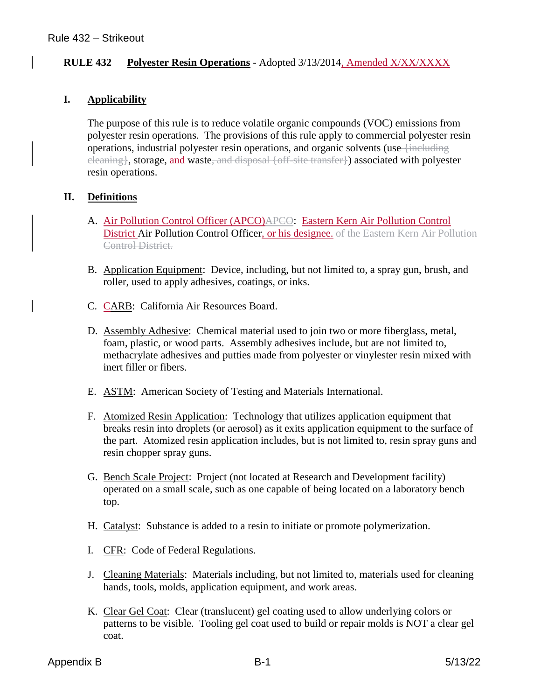#### **RULE 432 Polyester Resin Operations** - Adopted 3/13/2014, Amended X/XX/XXXX

#### **I. Applicability**

The purpose of this rule is to reduce volatile organic compounds (VOC) emissions from polyester resin operations. The provisions of this rule apply to commercial polyester resin operations, industrial polyester resin operations, and organic solvents (use {including cleaning}, storage, and waste, and disposal {off-site transfer}) associated with polyester resin operations.

#### **II. Definitions**

- A. Air Pollution Control Officer (APCO)APCO: Eastern Kern Air Pollution Control District Air Pollution Control Officer, or his designee. of the Eastern Kern Air Pollution Control District.
- B. Application Equipment: Device, including, but not limited to, a spray gun, brush, and roller, used to apply adhesives, coatings, or inks.
- C. CARB: California Air Resources Board.
- D. Assembly Adhesive: Chemical material used to join two or more fiberglass, metal, foam, plastic, or wood parts. Assembly adhesives include, but are not limited to, methacrylate adhesives and putties made from polyester or vinylester resin mixed with inert filler or fibers.
- E. ASTM: American Society of Testing and Materials International.
- F. Atomized Resin Application: Technology that utilizes application equipment that breaks resin into droplets (or aerosol) as it exits application equipment to the surface of the part. Atomized resin application includes, but is not limited to, resin spray guns and resin chopper spray guns.
- G. Bench Scale Project: Project (not located at Research and Development facility) operated on a small scale, such as one capable of being located on a laboratory bench top.
- H. Catalyst: Substance is added to a resin to initiate or promote polymerization.
- I. CFR: Code of Federal Regulations.
- J. Cleaning Materials: Materials including, but not limited to, materials used for cleaning hands, tools, molds, application equipment, and work areas.
- K. Clear Gel Coat: Clear (translucent) gel coating used to allow underlying colors or patterns to be visible. Tooling gel coat used to build or repair molds is NOT a clear gel coat.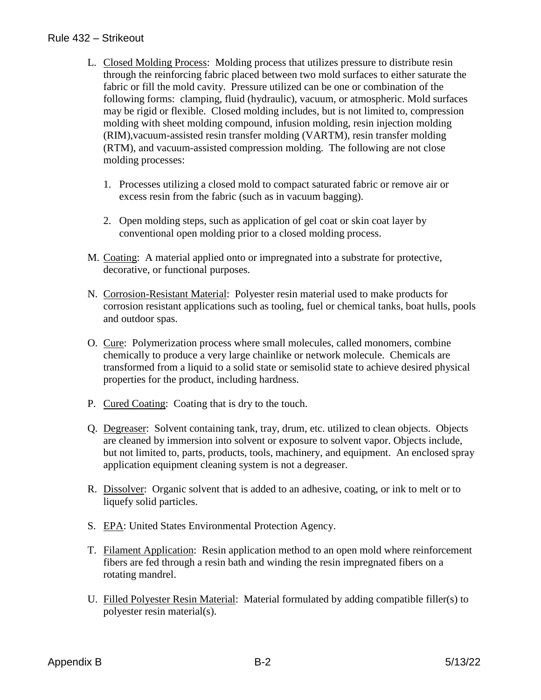#### Rule 432 – Strikeout

- L. Closed Molding Process: Molding process that utilizes pressure to distribute resin through the reinforcing fabric placed between two mold surfaces to either saturate the fabric or fill the mold cavity. Pressure utilized can be one or combination of the following forms: clamping, fluid (hydraulic), vacuum, or atmospheric. Mold surfaces may be rigid or flexible. Closed molding includes, but is not limited to, compression molding with sheet molding compound, infusion molding, resin injection molding (RIM),vacuum-assisted resin transfer molding (VARTM), resin transfer molding (RTM), and vacuum-assisted compression molding. The following are not close molding processes:
	- 1. Processes utilizing a closed mold to compact saturated fabric or remove air or excess resin from the fabric (such as in vacuum bagging).
	- 2. Open molding steps, such as application of gel coat or skin coat layer by conventional open molding prior to a closed molding process.
- M. Coating: A material applied onto or impregnated into a substrate for protective, decorative, or functional purposes.
- N. Corrosion-Resistant Material: Polyester resin material used to make products for corrosion resistant applications such as tooling, fuel or chemical tanks, boat hulls, pools and outdoor spas.
- O. Cure: Polymerization process where small molecules, called monomers, combine chemically to produce a very large chainlike or network molecule. Chemicals are transformed from a liquid to a solid state or semisolid state to achieve desired physical properties for the product, including hardness.
- P. Cured Coating: Coating that is dry to the touch.
- Q. Degreaser: Solvent containing tank, tray, drum, etc. utilized to clean objects. Objects are cleaned by immersion into solvent or exposure to solvent vapor. Objects include, but not limited to, parts, products, tools, machinery, and equipment. An enclosed spray application equipment cleaning system is not a degreaser.
- R. Dissolver: Organic solvent that is added to an adhesive, coating, or ink to melt or to liquefy solid particles.
- S. EPA: United States Environmental Protection Agency.
- T. Filament Application: Resin application method to an open mold where reinforcement fibers are fed through a resin bath and winding the resin impregnated fibers on a rotating mandrel.
- U. Filled Polyester Resin Material: Material formulated by adding compatible filler(s) to polyester resin material(s).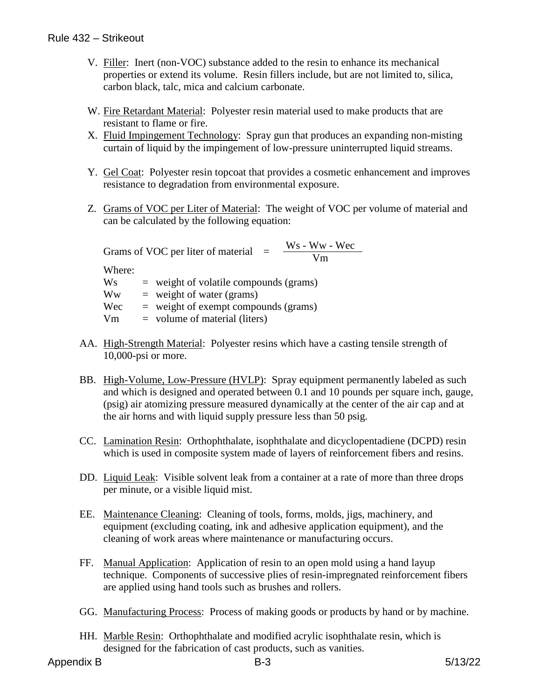- V. Filler: Inert (non-VOC) substance added to the resin to enhance its mechanical properties or extend its volume. Resin fillers include, but are not limited to, silica, carbon black, talc, mica and calcium carbonate.
- W. Fire Retardant Material: Polyester resin material used to make products that are resistant to flame or fire.
- X. Fluid Impingement Technology: Spray gun that produces an expanding non-misting curtain of liquid by the impingement of low-pressure uninterrupted liquid streams.
- Y. Gel Coat: Polyester resin topcoat that provides a cosmetic enhancement and improves resistance to degradation from environmental exposure.
- Z. Grams of VOC per Liter of Material: The weight of VOC per volume of material and can be calculated by the following equation:

Grams of VOC per liter of material  $=$   $\frac{Ws - Ww - Wec}{Vm}$ 

Where:

 $W_s$  = weight of volatile compounds (grams)  $\mathbf{W}\mathbf{w} = \text{weight of water (grams)}$  $Wec$  = weight of exempt compounds (grams)  $Vm = volume of material (liters)$ 

- AA. High-Strength Material: Polyester resins which have a casting tensile strength of 10,000-psi or more.
- BB. High-Volume, Low-Pressure (HVLP): Spray equipment permanently labeled as such and which is designed and operated between 0.1 and 10 pounds per square inch, gauge, (psig) air atomizing pressure measured dynamically at the center of the air cap and at the air horns and with liquid supply pressure less than 50 psig.
- CC. Lamination Resin: Orthophthalate, isophthalate and dicyclopentadiene (DCPD) resin which is used in composite system made of layers of reinforcement fibers and resins.
- DD. Liquid Leak: Visible solvent leak from a container at a rate of more than three drops per minute, or a visible liquid mist.
- EE. Maintenance Cleaning: Cleaning of tools, forms, molds, jigs, machinery, and equipment (excluding coating, ink and adhesive application equipment), and the cleaning of work areas where maintenance or manufacturing occurs.
- FF. Manual Application: Application of resin to an open mold using a hand layup technique. Components of successive plies of resin-impregnated reinforcement fibers are applied using hand tools such as brushes and rollers.
- GG. Manufacturing Process: Process of making goods or products by hand or by machine.
- HH. Marble Resin: Orthophthalate and modified acrylic isophthalate resin, which is designed for the fabrication of cast products, such as vanities.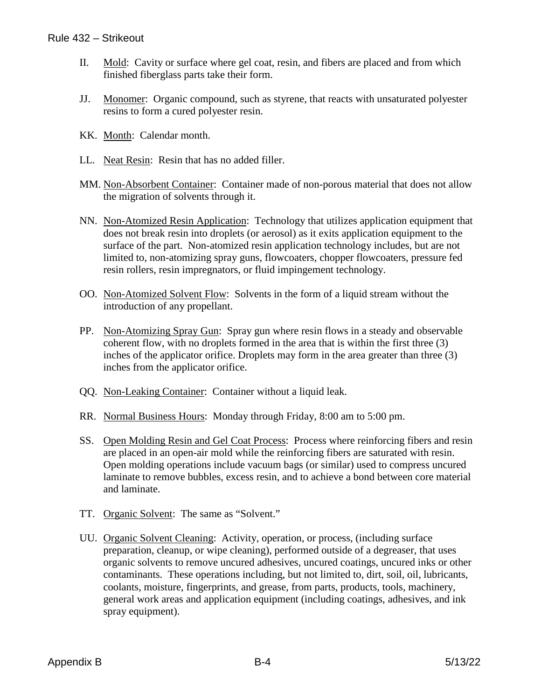- II. Mold: Cavity or surface where gel coat, resin, and fibers are placed and from which finished fiberglass parts take their form.
- JJ. Monomer: Organic compound, such as styrene, that reacts with unsaturated polyester resins to form a cured polyester resin.
- KK. Month: Calendar month.
- LL. Neat Resin: Resin that has no added filler.
- MM. Non-Absorbent Container: Container made of non-porous material that does not allow the migration of solvents through it.
- NN. Non-Atomized Resin Application: Technology that utilizes application equipment that does not break resin into droplets (or aerosol) as it exits application equipment to the surface of the part. Non-atomized resin application technology includes, but are not limited to, non-atomizing spray guns, flowcoaters, chopper flowcoaters, pressure fed resin rollers, resin impregnators, or fluid impingement technology.
- OO. Non-Atomized Solvent Flow: Solvents in the form of a liquid stream without the introduction of any propellant.
- PP. Non-Atomizing Spray Gun: Spray gun where resin flows in a steady and observable coherent flow, with no droplets formed in the area that is within the first three (3) inches of the applicator orifice. Droplets may form in the area greater than three (3) inches from the applicator orifice.
- QQ. Non-Leaking Container: Container without a liquid leak.
- RR. Normal Business Hours: Monday through Friday, 8:00 am to 5:00 pm.
- SS. Open Molding Resin and Gel Coat Process: Process where reinforcing fibers and resin are placed in an open-air mold while the reinforcing fibers are saturated with resin. Open molding operations include vacuum bags (or similar) used to compress uncured laminate to remove bubbles, excess resin, and to achieve a bond between core material and laminate.
- TT. Organic Solvent: The same as "Solvent."
- UU. Organic Solvent Cleaning: Activity, operation, or process, (including surface preparation, cleanup, or wipe cleaning), performed outside of a degreaser, that uses organic solvents to remove uncured adhesives, uncured coatings, uncured inks or other contaminants. These operations including, but not limited to, dirt, soil, oil, lubricants, coolants, moisture, fingerprints, and grease, from parts, products, tools, machinery, general work areas and application equipment (including coatings, adhesives, and ink spray equipment).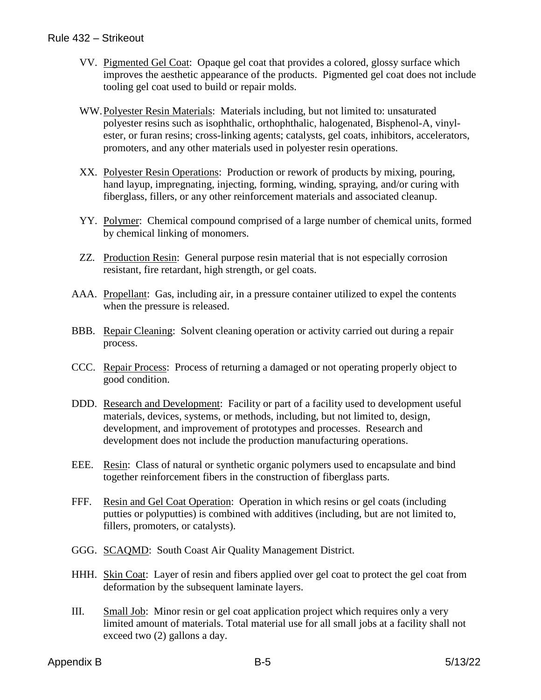#### Rule 432 – Strikeout

- VV. Pigmented Gel Coat: Opaque gel coat that provides a colored, glossy surface which improves the aesthetic appearance of the products. Pigmented gel coat does not include tooling gel coat used to build or repair molds.
- WW.Polyester Resin Materials: Materials including, but not limited to: unsaturated polyester resins such as isophthalic, orthophthalic, halogenated, Bisphenol-A, vinylester, or furan resins; cross-linking agents; catalysts, gel coats, inhibitors, accelerators, promoters, and any other materials used in polyester resin operations.
- XX. Polyester Resin Operations: Production or rework of products by mixing, pouring, hand layup, impregnating, injecting, forming, winding, spraying, and/or curing with fiberglass, fillers, or any other reinforcement materials and associated cleanup.
- YY. Polymer: Chemical compound comprised of a large number of chemical units, formed by chemical linking of monomers.
- ZZ. Production Resin: General purpose resin material that is not especially corrosion resistant, fire retardant, high strength, or gel coats.
- AAA. Propellant: Gas, including air, in a pressure container utilized to expel the contents when the pressure is released.
- BBB. Repair Cleaning: Solvent cleaning operation or activity carried out during a repair process.
- CCC. Repair Process: Process of returning a damaged or not operating properly object to good condition.
- DDD. Research and Development: Facility or part of a facility used to development useful materials, devices, systems, or methods, including, but not limited to, design, development, and improvement of prototypes and processes. Research and development does not include the production manufacturing operations.
- EEE. Resin: Class of natural or synthetic organic polymers used to encapsulate and bind together reinforcement fibers in the construction of fiberglass parts.
- FFF. Resin and Gel Coat Operation: Operation in which resins or gel coats (including putties or polyputties) is combined with additives (including, but are not limited to, fillers, promoters, or catalysts).
- GGG. SCAQMD: South Coast Air Quality Management District.
- HHH. Skin Coat: Layer of resin and fibers applied over gel coat to protect the gel coat from deformation by the subsequent laminate layers.
- III. Small Job: Minor resin or gel coat application project which requires only a very limited amount of materials. Total material use for all small jobs at a facility shall not exceed two (2) gallons a day.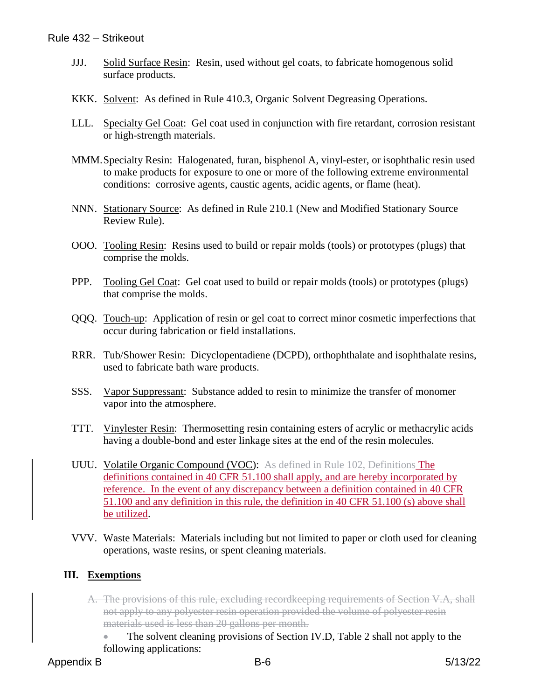- JJJ. Solid Surface Resin: Resin, used without gel coats, to fabricate homogenous solid surface products.
- KKK. Solvent: As defined in Rule 410.3, Organic Solvent Degreasing Operations.
- LLL. Specialty Gel Coat: Gel coat used in conjunction with fire retardant, corrosion resistant or high-strength materials.
- MMM.Specialty Resin: Halogenated, furan, bisphenol A, vinyl-ester, or isophthalic resin used to make products for exposure to one or more of the following extreme environmental conditions: corrosive agents, caustic agents, acidic agents, or flame (heat).
- NNN. Stationary Source: As defined in Rule 210.1 (New and Modified Stationary Source Review Rule).
- OOO. Tooling Resin: Resins used to build or repair molds (tools) or prototypes (plugs) that comprise the molds.
- PPP. Tooling Gel Coat: Gel coat used to build or repair molds (tools) or prototypes (plugs) that comprise the molds.
- QQQ. Touch-up: Application of resin or gel coat to correct minor cosmetic imperfections that occur during fabrication or field installations.
- RRR. Tub/Shower Resin: Dicyclopentadiene (DCPD), orthophthalate and isophthalate resins, used to fabricate bath ware products.
- SSS. Vapor Suppressant: Substance added to resin to minimize the transfer of monomer vapor into the atmosphere.
- TTT. Vinylester Resin: Thermosetting resin containing esters of acrylic or methacrylic acids having a double-bond and ester linkage sites at the end of the resin molecules.
- UUU. Volatile Organic Compound (VOC): As defined in Rule 102, Definitions The definitions contained in 40 CFR 51.100 shall apply, and are hereby incorporated by reference. In the event of any discrepancy between a definition contained in 40 CFR 51.100 and any definition in this rule, the definition in 40 CFR 51.100 (s) above shall be utilized.
- VVV. Waste Materials: Materials including but not limited to paper or cloth used for cleaning operations, waste resins, or spent cleaning materials.

#### **III. Exemptions**

- A. The provisions of this rule, excluding recordkeeping requirements of Section V.A, shall not apply to any polyester resin operation provided the volume of polyester resin materials used is less than 20 gallons per month.
	- The solvent cleaning provisions of Section IV.D, Table 2 shall not apply to the following applications: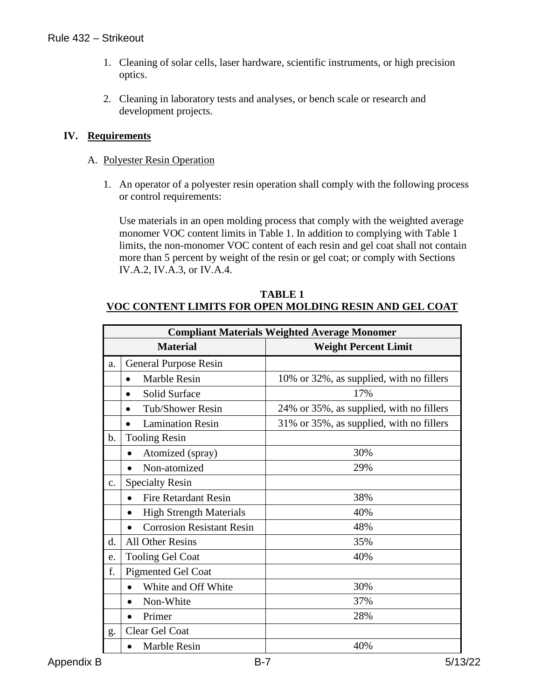#### Rule 432 – Strikeout

- 1. Cleaning of solar cells, laser hardware, scientific instruments, or high precision optics.
- 2. Cleaning in laboratory tests and analyses, or bench scale or research and development projects.

#### **IV. Requirements**

- A. Polyester Resin Operation
	- 1. An operator of a polyester resin operation shall comply with the following process or control requirements:

Use materials in an open molding process that comply with the weighted average monomer VOC content limits in Table 1. In addition to complying with Table 1 limits, the non-monomer VOC content of each resin and gel coat shall not contain more than 5 percent by weight of the resin or gel coat; or comply with Sections IV.A.2, IV.A.3, or IV.A.4.

#### **TABLE 1 VOC CONTENT LIMITS FOR OPEN MOLDING RESIN AND GEL COAT**

|               | <b>Compliant Materials Weighted Average Monomer</b> |                                          |  |
|---------------|-----------------------------------------------------|------------------------------------------|--|
|               | <b>Material</b>                                     | <b>Weight Percent Limit</b>              |  |
| a.            | <b>General Purpose Resin</b>                        |                                          |  |
|               | <b>Marble Resin</b><br>$\bullet$                    | 10% or 32%, as supplied, with no fillers |  |
|               | <b>Solid Surface</b><br>$\bullet$                   | 17%                                      |  |
|               | <b>Tub/Shower Resin</b>                             | 24% or 35%, as supplied, with no fillers |  |
|               | <b>Lamination Resin</b><br>$\bullet$                | 31% or 35%, as supplied, with no fillers |  |
| b.            | <b>Tooling Resin</b>                                |                                          |  |
|               | Atomized (spray)                                    | 30%                                      |  |
|               | Non-atomized<br>$\bullet$                           | 29%                                      |  |
| $C_{\bullet}$ | <b>Specialty Resin</b>                              |                                          |  |
|               | <b>Fire Retardant Resin</b>                         | 38%                                      |  |
|               | <b>High Strength Materials</b>                      | 40%                                      |  |
|               | <b>Corrosion Resistant Resin</b>                    | 48%                                      |  |
| d.            | <b>All Other Resins</b>                             | 35%                                      |  |
| e.            | <b>Tooling Gel Coat</b>                             | 40%                                      |  |
| f.            | <b>Pigmented Gel Coat</b>                           |                                          |  |
|               | White and Off White                                 | 30%                                      |  |
|               | Non-White                                           | 37%                                      |  |
|               | Primer                                              | 28%                                      |  |
| g.            | Clear Gel Coat                                      |                                          |  |
|               | <b>Marble Resin</b>                                 | 40%                                      |  |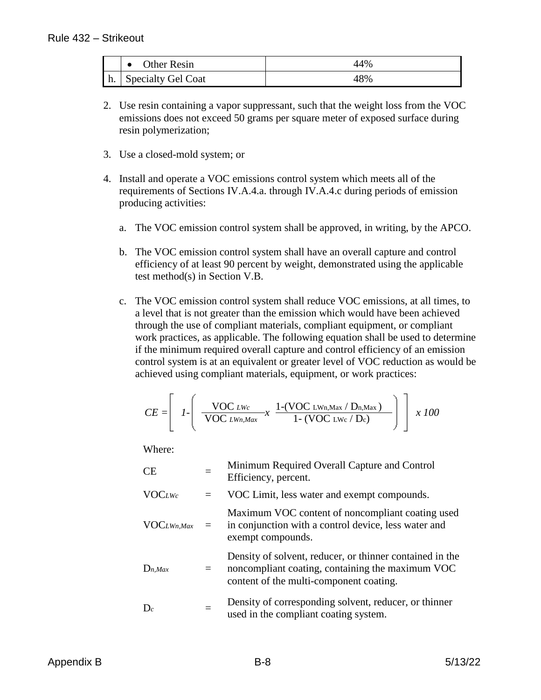|    | <b>Other Resin</b><br>$\bullet$ | 44% |
|----|---------------------------------|-----|
| h. | Specialty Gel Coat              | 48% |

- 2. Use resin containing a vapor suppressant, such that the weight loss from the VOC emissions does not exceed 50 grams per square meter of exposed surface during resin polymerization;
- 3. Use a closed-mold system; or
- 4. Install and operate a VOC emissions control system which meets all of the requirements of Sections IV.A.4.a. through IV.A.4.c during periods of emission producing activities:
	- a. The VOC emission control system shall be approved, in writing, by the APCO.
	- b. The VOC emission control system shall have an overall capture and control efficiency of at least 90 percent by weight, demonstrated using the applicable test method(s) in Section V.B.
	- c. The VOC emission control system shall reduce VOC emissions, at all times, to a level that is not greater than the emission which would have been achieved through the use of compliant materials, compliant equipment, or compliant work practices, as applicable. The following equation shall be used to determine if the minimum required overall capture and control efficiency of an emission control system is at an equivalent or greater level of VOC reduction as would be achieved using compliant materials, equipment, or work practices:

$$
CE = \left[ \left. I \left\{ \begin{array}{c} \frac{\text{VOC Lwc}}{\text{VOC LWn, Max}} x & \frac{1-(\text{VOC LWn, Max} / D_n, Max)}{1 - (\text{VOC LWc} / D_c)} \end{array} \right\} \right] \left. x \right. 100
$$

Where:

| CE               |     | Minimum Required Overall Capture and Control<br>Efficiency, percent.                                                                                    |
|------------------|-----|---------------------------------------------------------------------------------------------------------------------------------------------------------|
| <b>VOCLWc</b>    | $=$ | VOC Limit, less water and exempt compounds.                                                                                                             |
| $VOC_{LWn, Max}$ | $=$ | Maximum VOC content of noncompliant coating used<br>in conjunction with a control device, less water and<br>exempt compounds.                           |
| $D_{n,Max}$      |     | Density of solvent, reducer, or thinner contained in the<br>noncompliant coating, containing the maximum VOC<br>content of the multi-component coating. |
| $D_c$            |     | Density of corresponding solvent, reducer, or thinner<br>used in the compliant coating system.                                                          |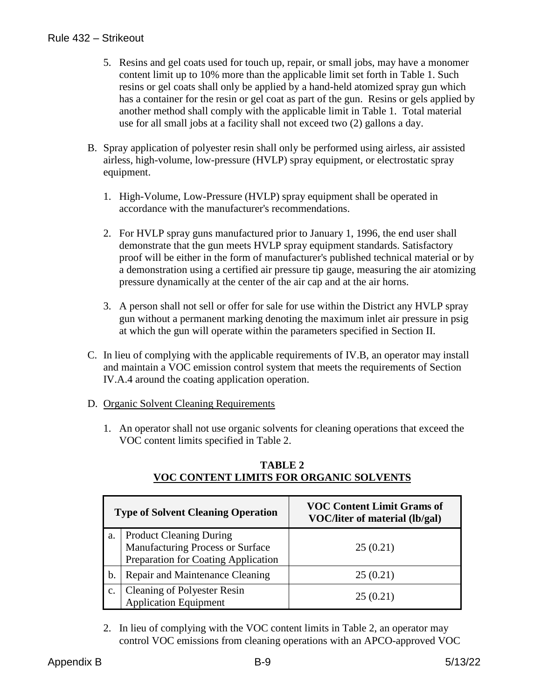- 5. Resins and gel coats used for touch up, repair, or small jobs, may have a monomer content limit up to 10% more than the applicable limit set forth in Table 1. Such resins or gel coats shall only be applied by a hand-held atomized spray gun which has a container for the resin or gel coat as part of the gun. Resins or gels applied by another method shall comply with the applicable limit in Table 1. Total material use for all small jobs at a facility shall not exceed two (2) gallons a day.
- B. Spray application of polyester resin shall only be performed using airless, air assisted airless, high-volume, low-pressure (HVLP) spray equipment, or electrostatic spray equipment.
	- 1. High-Volume, Low-Pressure (HVLP) spray equipment shall be operated in accordance with the manufacturer's recommendations.
	- 2. For HVLP spray guns manufactured prior to January 1, 1996, the end user shall demonstrate that the gun meets HVLP spray equipment standards. Satisfactory proof will be either in the form of manufacturer's published technical material or by a demonstration using a certified air pressure tip gauge, measuring the air atomizing pressure dynamically at the center of the air cap and at the air horns.
	- 3. A person shall not sell or offer for sale for use within the District any HVLP spray gun without a permanent marking denoting the maximum inlet air pressure in psig at which the gun will operate within the parameters specified in Section II.
- C. In lieu of complying with the applicable requirements of IV.B, an operator may install and maintain a VOC emission control system that meets the requirements of Section IV.A.4 around the coating application operation.
- D. Organic Solvent Cleaning Requirements
	- 1. An operator shall not use organic solvents for cleaning operations that exceed the VOC content limits specified in Table 2.

|    | <b>Type of Solvent Cleaning Operation</b>                                                                 | <b>VOC Content Limit Grams of</b><br>VOC/liter of material (lb/gal) |
|----|-----------------------------------------------------------------------------------------------------------|---------------------------------------------------------------------|
| a. | <b>Product Cleaning During</b><br>Manufacturing Process or Surface<br>Preparation for Coating Application | 25(0.21)                                                            |
| b. | Repair and Maintenance Cleaning                                                                           | 25(0.21)                                                            |
| c. | <b>Cleaning of Polyester Resin</b><br><b>Application Equipment</b>                                        | 25(0.21)                                                            |

#### **TABLE 2 VOC CONTENT LIMITS FOR ORGANIC SOLVENTS**

2. In lieu of complying with the VOC content limits in Table 2, an operator may control VOC emissions from cleaning operations with an APCO-approved VOC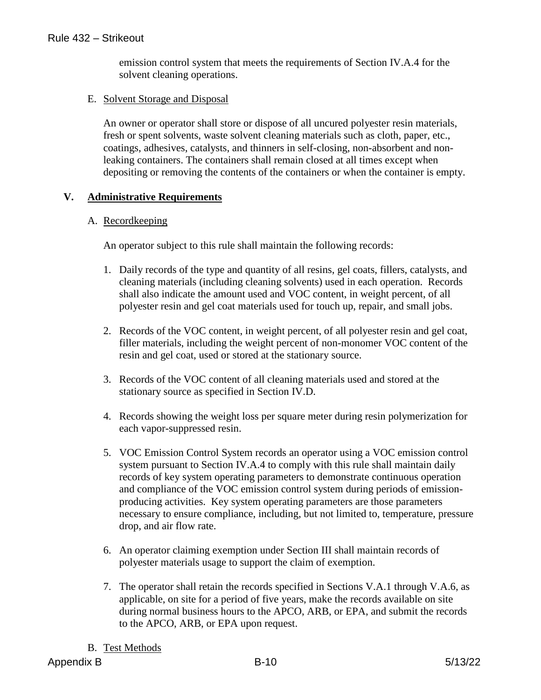emission control system that meets the requirements of Section IV.A.4 for the solvent cleaning operations.

#### E. Solvent Storage and Disposal

An owner or operator shall store or dispose of all uncured polyester resin materials, fresh or spent solvents, waste solvent cleaning materials such as cloth, paper, etc., coatings, adhesives, catalysts, and thinners in self-closing, non-absorbent and nonleaking containers. The containers shall remain closed at all times except when depositing or removing the contents of the containers or when the container is empty.

#### **V. Administrative Requirements**

#### A. Recordkeeping

An operator subject to this rule shall maintain the following records:

- 1. Daily records of the type and quantity of all resins, gel coats, fillers, catalysts, and cleaning materials (including cleaning solvents) used in each operation. Records shall also indicate the amount used and VOC content, in weight percent, of all polyester resin and gel coat materials used for touch up, repair, and small jobs.
- 2. Records of the VOC content, in weight percent, of all polyester resin and gel coat, filler materials, including the weight percent of non-monomer VOC content of the resin and gel coat, used or stored at the stationary source.
- 3. Records of the VOC content of all cleaning materials used and stored at the stationary source as specified in Section IV.D.
- 4. Records showing the weight loss per square meter during resin polymerization for each vapor-suppressed resin.
- 5. VOC Emission Control System records an operator using a VOC emission control system pursuant to Section IV.A.4 to comply with this rule shall maintain daily records of key system operating parameters to demonstrate continuous operation and compliance of the VOC emission control system during periods of emissionproducing activities. Key system operating parameters are those parameters necessary to ensure compliance, including, but not limited to, temperature, pressure drop, and air flow rate.
- 6. An operator claiming exemption under Section III shall maintain records of polyester materials usage to support the claim of exemption.
- 7. The operator shall retain the records specified in Sections V.A.1 through V.A.6, as applicable, on site for a period of five years, make the records available on site during normal business hours to the APCO, ARB, or EPA, and submit the records to the APCO, ARB, or EPA upon request.

#### B. Test Methods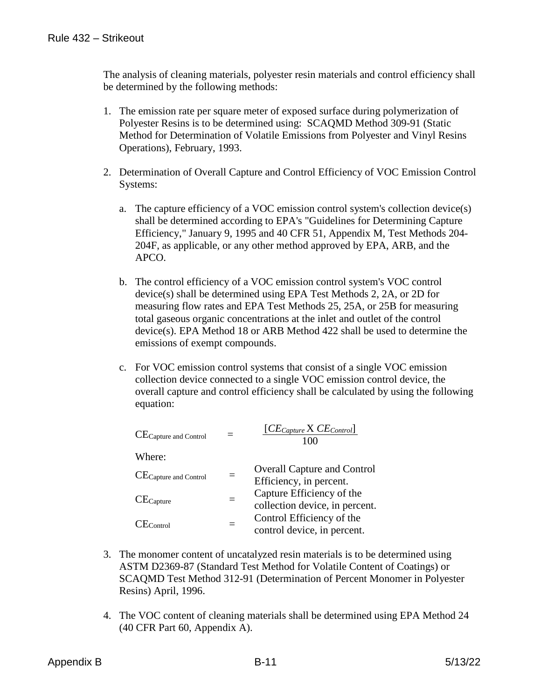The analysis of cleaning materials, polyester resin materials and control efficiency shall be determined by the following methods:

- 1. The emission rate per square meter of exposed surface during polymerization of Polyester Resins is to be determined using: SCAQMD Method 309-91 (Static Method for Determination of Volatile Emissions from Polyester and Vinyl Resins Operations), February, 1993.
- 2. Determination of Overall Capture and Control Efficiency of VOC Emission Control Systems:
	- a. The capture efficiency of a VOC emission control system's collection device(s) shall be determined according to EPA's "Guidelines for Determining Capture Efficiency," January 9, 1995 and 40 CFR 51, Appendix M, Test Methods 204- 204F, as applicable, or any other method approved by EPA, ARB, and the APCO.
	- b. The control efficiency of a VOC emission control system's VOC control device(s) shall be determined using EPA Test Methods 2, 2A, or 2D for measuring flow rates and EPA Test Methods 25, 25A, or 25B for measuring total gaseous organic concentrations at the inlet and outlet of the control device(s). EPA Method 18 or ARB Method 422 shall be used to determine the emissions of exempt compounds.
	- c. For VOC emission control systems that consist of a single VOC emission collection device connected to a single VOC emission control device, the overall capture and control efficiency shall be calculated by using the following equation:

| CE Capture and Control |          | $[CE_{Capture} \times CE_{Control}]$<br>100                   |
|------------------------|----------|---------------------------------------------------------------|
| Where:                 |          |                                                               |
| CE Capture and Control | $\equiv$ | <b>Overall Capture and Control</b><br>Efficiency, in percent. |
| $CE_{Capture}$         |          | Capture Efficiency of the<br>collection device, in percent.   |
| $E_{\rm Control}$      |          | Control Efficiency of the<br>control device, in percent.      |

- 3. The monomer content of uncatalyzed resin materials is to be determined using ASTM D2369-87 (Standard Test Method for Volatile Content of Coatings) or SCAQMD Test Method 312-91 (Determination of Percent Monomer in Polyester Resins) April, 1996.
- 4. The VOC content of cleaning materials shall be determined using EPA Method 24 (40 CFR Part 60, Appendix A).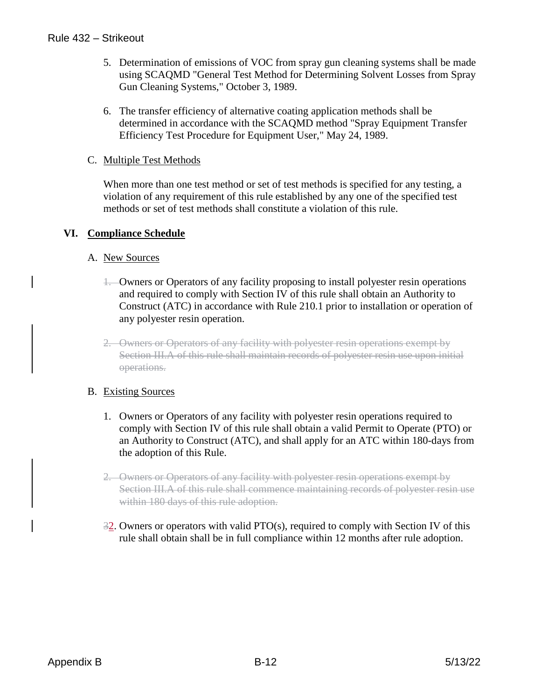#### Rule 432 – Strikeout

- 5. Determination of emissions of VOC from spray gun cleaning systems shall be made using SCAQMD "General Test Method for Determining Solvent Losses from Spray Gun Cleaning Systems," October 3, 1989.
- 6. The transfer efficiency of alternative coating application methods shall be determined in accordance with the SCAQMD method "Spray Equipment Transfer Efficiency Test Procedure for Equipment User," May 24, 1989.

#### C. Multiple Test Methods

When more than one test method or set of test methods is specified for any testing, a violation of any requirement of this rule established by any one of the specified test methods or set of test methods shall constitute a violation of this rule.

#### **VI. Compliance Schedule**

#### A. New Sources

- 1. Owners or Operators of any facility proposing to install polyester resin operations and required to comply with Section IV of this rule shall obtain an Authority to Construct (ATC) in accordance with Rule 210.1 prior to installation or operation of any polyester resin operation.
- 2. Owners or Operators of any facility with polyester resin operations exempt by Section III.A of this rule shall maintain records of polyester resin use upon initial operations.

#### B. Existing Sources

- 1. Owners or Operators of any facility with polyester resin operations required to comply with Section IV of this rule shall obtain a valid Permit to Operate (PTO) or an Authority to Construct (ATC), and shall apply for an ATC within 180-days from the adoption of this Rule.
- 2. Owners or Operators of any facility with polyester resin operations exempt by Section III.A of this rule shall commence maintaining records of polyester resin use within 180 days of this rule adoption.
- 32. Owners or operators with valid PTO(s), required to comply with Section IV of this rule shall obtain shall be in full compliance within 12 months after rule adoption.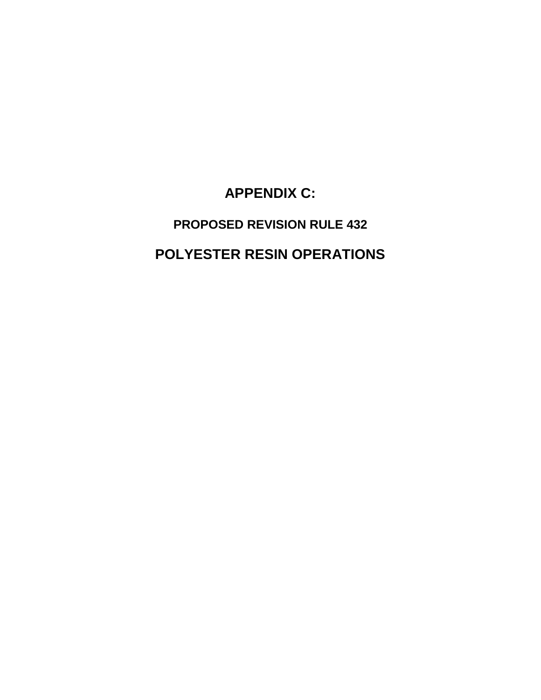**APPENDIX C:**

**PROPOSED REVISION RULE 432 POLYESTER RESIN OPERATIONS**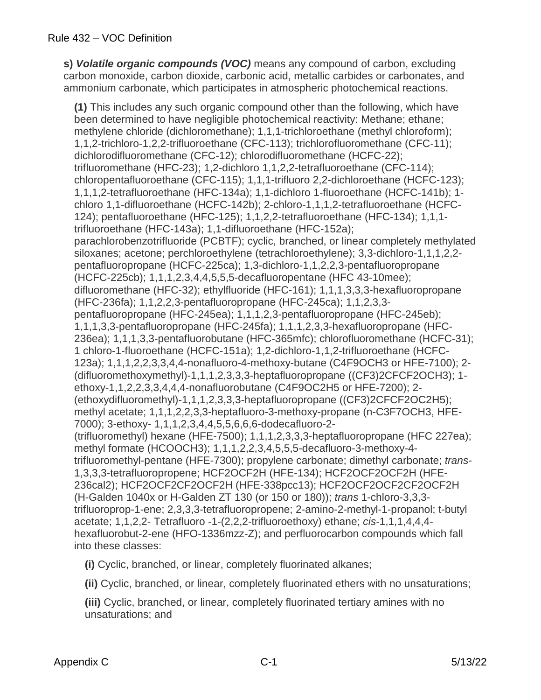**s)** *Volatile organic compounds (VOC)* means any compound of carbon, excluding carbon monoxide, carbon dioxide, carbonic acid, metallic carbides or carbonates, and ammonium carbonate, which participates in atmospheric photochemical reactions.

**(1)** This includes any such organic compound other than the following, which have been determined to have negligible photochemical reactivity: Methane; ethane; methylene chloride (dichloromethane); 1,1,1-trichloroethane (methyl chloroform); 1,1,2-trichloro-1,2,2-trifluoroethane (CFC-113); trichlorofluoromethane (CFC-11); dichlorodifluoromethane (CFC-12); chlorodifluoromethane (HCFC-22); trifluoromethane (HFC-23); 1,2-dichloro 1,1,2,2-tetrafluoroethane (CFC-114); chloropentafluoroethane (CFC-115); 1,1,1-trifluoro 2,2-dichloroethane (HCFC-123); 1,1,1,2-tetrafluoroethane (HFC-134a); 1,1-dichloro 1-fluoroethane (HCFC-141b); 1 chloro 1,1-difluoroethane (HCFC-142b); 2-chloro-1,1,1,2-tetrafluoroethane (HCFC-124); pentafluoroethane (HFC-125); 1,1,2,2-tetrafluoroethane (HFC-134); 1,1,1 trifluoroethane (HFC-143a); 1,1-difluoroethane (HFC-152a); parachlorobenzotrifluoride (PCBTF); cyclic, branched, or linear completely methylated siloxanes; acetone; perchloroethylene (tetrachloroethylene); 3,3-dichloro-1,1,1,2,2 pentafluoropropane (HCFC-225ca); 1,3-dichloro-1,1,2,2,3-pentafluoropropane (HCFC-225cb); 1,1,1,2,3,4,4,5,5,5-decafluoropentane (HFC 43-10mee); difluoromethane (HFC-32); ethylfluoride (HFC-161); 1,1,1,3,3,3-hexafluoropropane (HFC-236fa); 1,1,2,2,3-pentafluoropropane (HFC-245ca); 1,1,2,3,3 pentafluoropropane (HFC-245ea); 1,1,1,2,3-pentafluoropropane (HFC-245eb); 1,1,1,3,3-pentafluoropropane (HFC-245fa); 1,1,1,2,3,3-hexafluoropropane (HFC-236ea); 1,1,1,3,3-pentafluorobutane (HFC-365mfc); chlorofluoromethane (HCFC-31); 1 chloro-1-fluoroethane (HCFC-151a); 1,2-dichloro-1,1,2-trifluoroethane (HCFC-123a); 1,1,1,2,2,3,3,4,4-nonafluoro-4-methoxy-butane (C4F9OCH3 or HFE-7100); 2- (difluoromethoxymethyl)-1,1,1,2,3,3,3-heptafluoropropane ((CF3)2CFCF2OCH3); 1 ethoxy-1,1,2,2,3,3,4,4,4-nonafluorobutane (C4F9OC2H5 or HFE-7200); 2- (ethoxydifluoromethyl)-1,1,1,2,3,3,3-heptafluoropropane ((CF3)2CFCF2OC2H5); methyl acetate; 1,1,1,2,2,3,3-heptafluoro-3-methoxy-propane (n-C3F7OCH3, HFE-7000); 3-ethoxy- 1,1,1,2,3,4,4,5,5,6,6,6-dodecafluoro-2- (trifluoromethyl) hexane (HFE-7500); 1,1,1,2,3,3,3-heptafluoropropane (HFC 227ea); methyl formate (HCOOCH3); 1,1,1,2,2,3,4,5,5,5-decafluoro-3-methoxy-4 trifluoromethyl-pentane (HFE-7300); propylene carbonate; dimethyl carbonate; *trans*-1,3,3,3-tetrafluoropropene; HCF2OCF2H (HFE-134); HCF2OCF2OCF2H (HFE-236cal2); HCF2OCF2CF2OCF2H (HFE-338pcc13); HCF2OCF2OCF2CF2OCF2H (H-Galden 1040x or H-Galden ZT 130 (or 150 or 180)); *trans* 1-chloro-3,3,3 trifluoroprop-1-ene; 2,3,3,3-tetrafluoropropene; 2-amino-2-methyl-1-propanol; t-butyl acetate; 1,1,2,2- Tetrafluoro -1-(2,2,2-trifluoroethoxy) ethane; *cis-*1,1,1,4,4,4 hexafluorobut-2-ene (HFO-1336mzz-Z); and perfluorocarbon compounds which fall into these classes:

**(i)** Cyclic, branched, or linear, completely fluorinated alkanes;

**(ii)** Cyclic, branched, or linear, completely fluorinated ethers with no unsaturations;

**(iii)** Cyclic, branched, or linear, completely fluorinated tertiary amines with no unsaturations; and